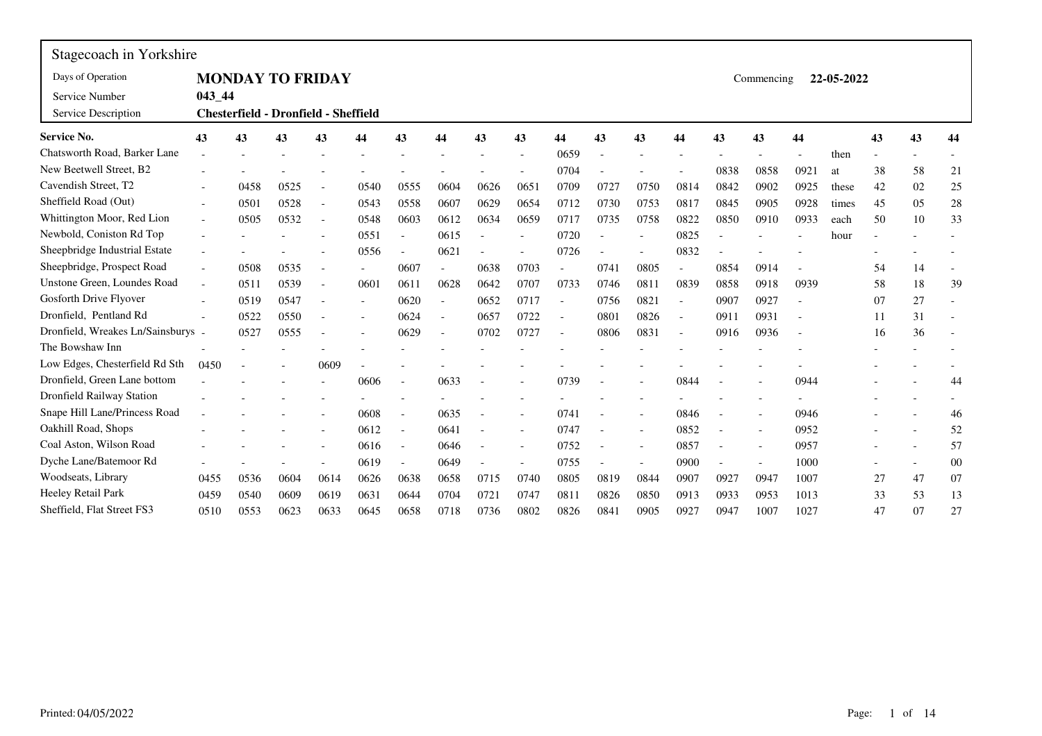| Stagecoach in Yorkshire          |                          |      |                                             |                          |                          |                |                          |      |      |                          |      |                          |        |      |                          |      |            |    |    |    |
|----------------------------------|--------------------------|------|---------------------------------------------|--------------------------|--------------------------|----------------|--------------------------|------|------|--------------------------|------|--------------------------|--------|------|--------------------------|------|------------|----|----|----|
| Days of Operation                |                          |      | <b>MONDAY TO FRIDAY</b>                     |                          |                          |                |                          |      |      |                          |      |                          |        |      | Commencing               |      | 22-05-2022 |    |    |    |
| Service Number                   | $043 - 44$               |      |                                             |                          |                          |                |                          |      |      |                          |      |                          |        |      |                          |      |            |    |    |    |
| Service Description              |                          |      | <b>Chesterfield - Dronfield - Sheffield</b> |                          |                          |                |                          |      |      |                          |      |                          |        |      |                          |      |            |    |    |    |
| <b>Service No.</b>               | 43                       | 43   | 43                                          | 43                       | 44                       | 43             | 44                       | 43   | 43   | 44                       | 43   | 43                       | 44     | 43   | 43                       | 44   |            | 43 | 43 | 44 |
| Chatsworth Road, Barker Lane     |                          |      |                                             |                          |                          |                |                          |      |      | 0659                     |      |                          |        |      |                          |      | then       |    |    |    |
| New Beetwell Street, B2          |                          |      |                                             |                          |                          |                |                          |      |      | 0704                     |      |                          |        | 0838 | 0858                     | 0921 | at         | 38 | 58 | 21 |
| Cavendish Street, T2             |                          | 0458 | 0525                                        |                          | 0540                     | 0555           | 0604                     | 0626 | 0651 | 0709                     | 0727 | 0750                     | 0814   | 0842 | 0902                     | 0925 | these      | 42 | 02 | 25 |
| Sheffield Road (Out)             |                          | 0501 | 0528                                        | $\overline{\phantom{a}}$ | 0543                     | 0558           | 0607                     | 0629 | 0654 | 0712                     | 0730 | 0753                     | 0817   | 0845 | 0905                     | 0928 | times      | 45 | 05 | 28 |
| Whittington Moor, Red Lion       | $\overline{\phantom{a}}$ | 0505 | 0532                                        | $\overline{\phantom{a}}$ | 0548                     | 0603           | 0612                     | 0634 | 0659 | 0717                     | 0735 | 0758                     | 0822   | 0850 | 0910                     | 0933 | each       | 50 | 10 | 33 |
| Newbold, Coniston Rd Top         |                          |      |                                             |                          | 0551                     |                | 0615                     |      |      | 0720                     |      |                          | 0825   |      |                          |      | hour       |    |    |    |
| Sheepbridge Industrial Estate    |                          |      |                                             |                          | 0556                     | $\overline{a}$ | 0621                     |      |      | 0726                     |      |                          | 0832   |      |                          |      |            |    |    |    |
| Sheepbridge, Prospect Road       |                          | 0508 | 0535                                        |                          | $\blacksquare$           | 0607           |                          | 0638 | 0703 |                          | 0741 | 0805                     |        | 0854 | 0914                     |      |            | 54 | 14 |    |
| Unstone Green, Loundes Road      | $\overline{a}$           | 0511 | 0539                                        |                          | 0601                     | 0611           | 0628                     | 0642 | 0707 | 0733                     | 0746 | 0811                     | 0839   | 0858 | 0918                     | 0939 |            | 58 | 18 | 39 |
| Gosforth Drive Flyover           |                          | 0519 | 0547                                        |                          | $\overline{\phantom{a}}$ | 0620           | $\overline{a}$           | 0652 | 0717 |                          | 0756 | 0821                     |        | 0907 | 0927                     |      |            | 07 | 27 |    |
| Dronfield. Pentland Rd           |                          | 0522 | 0550                                        |                          |                          | 0624           | $\sim$                   | 0657 | 0722 | $\overline{\phantom{a}}$ | 0801 | 0826                     | $\sim$ | 0911 | 0931                     |      |            | 11 | 31 |    |
| Dronfield, Wreakes Ln/Sainsburys |                          | 0527 | 0555                                        |                          |                          | 0629           | $\overline{\phantom{a}}$ | 0702 | 0727 |                          | 0806 | 0831                     |        | 0916 | 0936                     |      |            | 16 | 36 |    |
| The Bowshaw Inn                  |                          |      |                                             |                          |                          |                |                          |      |      |                          |      |                          |        |      |                          |      |            |    |    |    |
| Low Edges, Chesterfield Rd Sth   | 0450                     |      |                                             | 0609                     |                          |                |                          |      |      |                          |      |                          |        |      |                          |      |            |    |    |    |
| Dronfield, Green Lane bottom     |                          |      |                                             |                          | 0606                     |                | 0633                     |      |      | 0739                     |      |                          | 0844   |      |                          | 0944 |            |    |    | 44 |
| Dronfield Railway Station        |                          |      |                                             |                          |                          |                |                          |      |      |                          |      |                          |        |      |                          |      |            |    |    |    |
| Snape Hill Lane/Princess Road    |                          |      |                                             |                          | 0608                     | $\overline{a}$ | 0635                     |      |      | 0741                     |      |                          | 0846   |      | $\overline{a}$           | 0946 |            |    |    | 46 |
| Oakhill Road, Shops              |                          |      |                                             |                          | 0612                     | $\overline{a}$ | 0641                     |      |      | 0747                     |      | $\overline{a}$           | 0852   |      | $\blacksquare$           | 0952 |            |    |    | 52 |
| Coal Aston, Wilson Road          |                          |      |                                             |                          | 0616                     | $\overline{a}$ | 0646                     |      |      | 0752                     |      | $\overline{\phantom{a}}$ | 0857   |      | ÷,                       | 0957 |            |    |    | 57 |
| Dyche Lane/Batemoor Rd           |                          |      |                                             |                          | 0619                     | $\overline{a}$ | 0649                     |      |      | 0755                     |      |                          | 0900   |      | $\overline{\phantom{a}}$ | 1000 |            |    |    | 00 |
| Woodseats, Library               | 0455                     | 0536 | 0604                                        | 0614                     | 0626                     | 0638           | 0658                     | 0715 | 0740 | 0805                     | 0819 | 0844                     | 0907   | 0927 | 0947                     | 1007 |            | 27 | 47 | 07 |
| Heeley Retail Park               | 0459                     | 0540 | 0609                                        | 0619                     | 0631                     | 0644           | 0704                     | 0721 | 0747 | 0811                     | 0826 | 0850                     | 0913   | 0933 | 0953                     | 1013 |            | 33 | 53 | 13 |
| Sheffield, Flat Street FS3       | 0510                     | 0553 | 0623                                        | 0633                     | 0645                     | 0658           | 0718                     | 0736 | 0802 | 0826                     | 0841 | 0905                     | 0927   | 0947 | 1007                     | 1027 |            | 47 | 07 | 27 |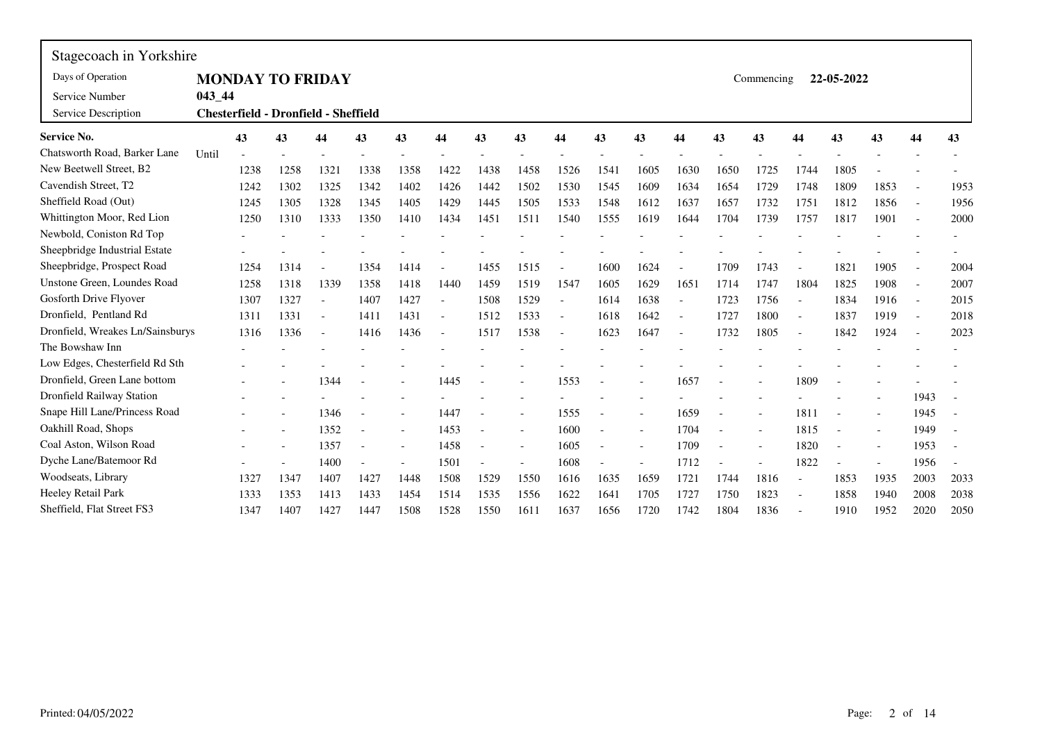| Stagecoach in Yorkshire          |            |                                             |      |                          |      |      |                          |      |                          |                          |      |                          |                          |      |            |                          |            |      |                |      |
|----------------------------------|------------|---------------------------------------------|------|--------------------------|------|------|--------------------------|------|--------------------------|--------------------------|------|--------------------------|--------------------------|------|------------|--------------------------|------------|------|----------------|------|
| Days of Operation                |            | <b>MONDAY TO FRIDAY</b>                     |      |                          |      |      |                          |      |                          |                          |      |                          |                          |      | Commencing |                          | 22-05-2022 |      |                |      |
| Service Number                   | $043 - 44$ |                                             |      |                          |      |      |                          |      |                          |                          |      |                          |                          |      |            |                          |            |      |                |      |
| Service Description              |            | <b>Chesterfield - Dronfield - Sheffield</b> |      |                          |      |      |                          |      |                          |                          |      |                          |                          |      |            |                          |            |      |                |      |
| <b>Service No.</b>               |            | 43                                          | 43   | 44                       | 43   | 43   | 44                       | 43   | 43                       | 44                       | 43   | 43                       | 44                       | 43   | 43         | 44                       | 43         | 43   | 44             | 43   |
| Chatsworth Road, Barker Lane     | Until      |                                             |      |                          |      |      |                          |      |                          |                          |      |                          |                          |      |            |                          |            |      |                |      |
| New Beetwell Street, B2          |            | 1238                                        | 1258 | 1321                     | 1338 | 1358 | 1422                     | 1438 | 1458                     | 1526                     | 1541 | 1605                     | 1630                     | 1650 | 1725       | 1744                     | 1805       |      |                |      |
| Cavendish Street, T2             |            | 1242                                        | 1302 | 1325                     | 1342 | 1402 | 1426                     | 1442 | 1502                     | 1530                     | 1545 | 1609                     | 1634                     | 1654 | 1729       | 1748                     | 1809       | 1853 | $\overline{a}$ | 1953 |
| Sheffield Road (Out)             |            | 1245                                        | 1305 | 1328                     | 1345 | 1405 | 1429                     | 1445 | 1505                     | 1533                     | 1548 | 1612                     | 1637                     | 1657 | 1732       | 1751                     | 1812       | 1856 | $\sim$         | 1956 |
| Whittington Moor, Red Lion       |            | 1250                                        | 1310 | 1333                     | 1350 | 1410 | 1434                     | 1451 | 1511                     | 1540                     | 1555 | 1619                     | 1644                     | 1704 | 1739       | 1757                     | 1817       | 1901 | $\sim$         | 2000 |
| Newbold, Coniston Rd Top         |            |                                             |      |                          |      |      |                          |      |                          |                          |      |                          |                          |      |            |                          |            |      |                |      |
| Sheepbridge Industrial Estate    |            |                                             |      |                          |      |      |                          |      |                          |                          |      |                          |                          |      |            |                          |            |      |                |      |
| Sheepbridge, Prospect Road       |            | 1254                                        | 1314 |                          | 1354 | 1414 |                          | 1455 | 1515                     |                          | 1600 | 1624                     |                          | 1709 | 1743       |                          | 1821       | 1905 |                | 2004 |
| Unstone Green, Loundes Road      |            | 1258                                        | 1318 | 1339                     | 1358 | 1418 | 1440                     | 1459 | 1519                     | 1547                     | 1605 | 1629                     | 1651                     | 1714 | 1747       | 1804                     | 1825       | 1908 | $\sim$         | 2007 |
| Gosforth Drive Flyover           |            | 1307                                        | 1327 |                          | 1407 | 1427 | $\overline{a}$           | 1508 | 1529                     |                          | 1614 | 1638                     | $\overline{\phantom{a}}$ | 1723 | 1756       |                          | 1834       | 1916 | $\sim$         | 2015 |
| Dronfield, Pentland Rd           |            | 1311                                        | 1331 | $\overline{\phantom{0}}$ | 1411 | 1431 | $\blacksquare$           | 1512 | 1533                     | $\overline{\phantom{a}}$ | 1618 | 1642                     | $\blacksquare$           | 1727 | 1800       | $\overline{\phantom{a}}$ | 1837       | 1919 | $\sim$         | 2018 |
| Dronfield, Wreakes Ln/Sainsburys |            | 1316                                        | 1336 |                          | 1416 | 1436 | $\overline{\phantom{a}}$ | 1517 | 1538                     | $\overline{\phantom{a}}$ | 1623 | 1647                     | $\overline{a}$           | 1732 | 1805       |                          | 1842       | 1924 | $\blacksquare$ | 2023 |
| The Bowshaw Inn                  |            |                                             |      |                          |      |      |                          |      |                          |                          |      |                          |                          |      |            |                          |            |      |                |      |
| Low Edges, Chesterfield Rd Sth   |            |                                             |      |                          |      |      |                          |      |                          |                          |      |                          |                          |      |            |                          |            |      |                |      |
| Dronfield, Green Lane bottom     |            |                                             |      | 1344                     |      |      | 1445                     |      |                          | 1553                     |      |                          | 1657                     |      |            | 1809                     |            |      |                |      |
| Dronfield Railway Station        |            |                                             |      |                          |      |      |                          |      |                          |                          |      |                          |                          |      |            |                          |            |      | 1943           |      |
| Snape Hill Lane/Princess Road    |            |                                             |      | 1346                     |      |      | 1447                     |      | $\overline{\phantom{a}}$ | 1555                     |      |                          | 1659                     |      |            | 1811                     |            |      | 1945           |      |
| Oakhill Road, Shops              |            |                                             |      | 1352                     |      |      | 1453                     |      | $\overline{\phantom{a}}$ | 1600                     |      |                          | 1704                     |      |            | 1815                     |            |      | 1949           |      |
| Coal Aston, Wilson Road          |            |                                             |      | 1357                     |      |      | 1458                     |      | $\overline{\phantom{a}}$ | 1605                     |      | $\overline{\phantom{a}}$ | 1709                     |      |            | 1820                     |            |      | 1953           |      |
| Dyche Lane/Batemoor Rd           |            |                                             |      | 1400                     |      |      | 1501                     |      |                          | 1608                     |      |                          | 1712                     |      |            | 1822                     |            |      | 1956           |      |
| Woodseats, Library               |            | 1327                                        | 1347 | 1407                     | 1427 | 1448 | 1508                     | 1529 | 1550                     | 1616                     | 1635 | 1659                     | 1721                     | 1744 | 1816       |                          | 1853       | 1935 | 2003           | 2033 |
| Heeley Retail Park               |            | 1333                                        | 1353 | 1413                     | 1433 | 1454 | 1514                     | 1535 | 1556                     | 1622                     | 1641 | 1705                     | 1727                     | 1750 | 1823       |                          | 1858       | 1940 | 2008           | 2038 |
| Sheffield, Flat Street FS3       |            | 1347                                        | 1407 | 1427                     | 1447 | 1508 | 1528                     | 1550 | 1611                     | 1637                     | 1656 | 1720                     | 1742                     | 1804 | 1836       |                          | 1910       | 1952 | 2020           | 2050 |

 $\blacksquare$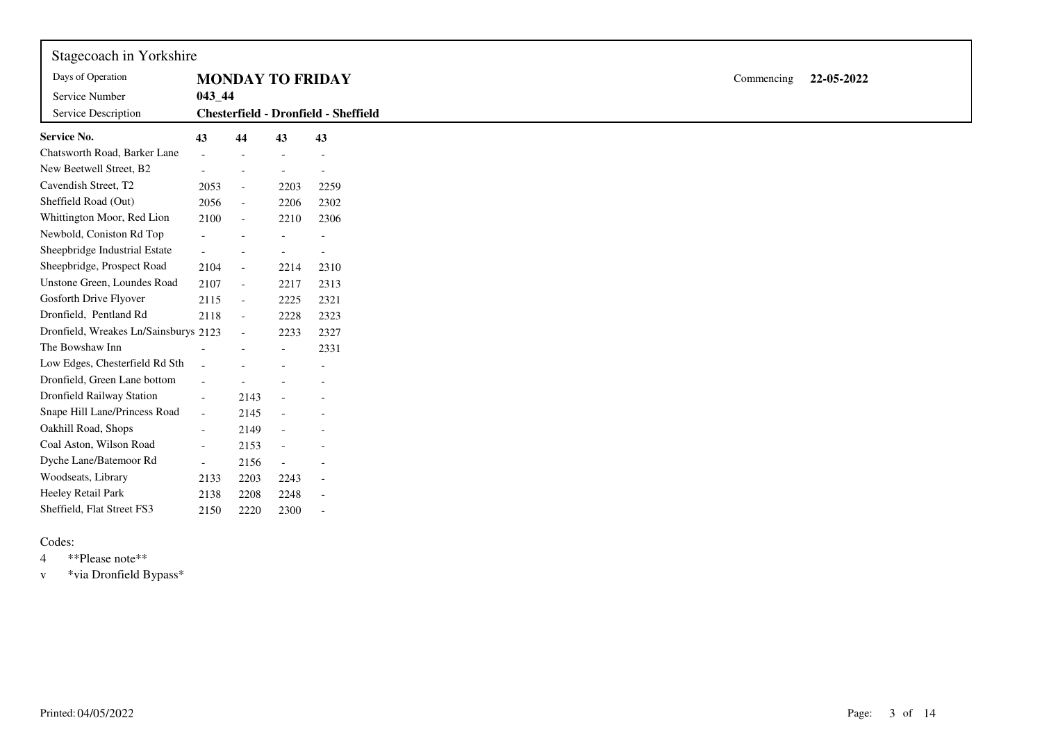| Stagecoach in Yorkshire               |                          |                          |                          |                                      |            |            |
|---------------------------------------|--------------------------|--------------------------|--------------------------|--------------------------------------|------------|------------|
| Days of Operation                     |                          |                          |                          | <b>MONDAY TO FRIDAY</b>              | Commencing | 22-05-2022 |
| Service Number<br>Service Description | $043 - 44$               |                          |                          | Chesterfield - Dronfield - Sheffield |            |            |
| <b>Service No.</b>                    | 43                       | 44                       | 43                       | 43                                   |            |            |
| Chatsworth Road, Barker Lane          |                          |                          |                          |                                      |            |            |
| New Beetwell Street, B2               |                          |                          |                          |                                      |            |            |
| Cavendish Street, T2                  | 2053                     | $\overline{\phantom{a}}$ | 2203                     | 2259                                 |            |            |
| Sheffield Road (Out)                  | 2056                     | $\mathcal{L}$            | 2206                     | 2302                                 |            |            |
| Whittington Moor, Red Lion            | 2100                     | $\blacksquare$           | 2210                     | 2306                                 |            |            |
| Newbold, Coniston Rd Top              |                          |                          |                          |                                      |            |            |
| Sheepbridge Industrial Estate         | $\sim$                   |                          |                          |                                      |            |            |
| Sheepbridge, Prospect Road            | 2104                     | $\overline{\phantom{a}}$ | 2214                     | 2310                                 |            |            |
| Unstone Green, Loundes Road           | 2107                     | $\sim$                   | 2217                     | 2313                                 |            |            |
| Gosforth Drive Flyover                | 2115                     | $\overline{\phantom{a}}$ | 2225                     | 2321                                 |            |            |
| Dronfield, Pentland Rd                | 2118                     | $\blacksquare$           | 2228                     | 2323                                 |            |            |
| Dronfield, Wreakes Ln/Sainsburys 2123 |                          | $\overline{\phantom{a}}$ | 2233                     | 2327                                 |            |            |
| The Bowshaw Inn                       |                          |                          |                          | 2331                                 |            |            |
| Low Edges, Chesterfield Rd Sth        | $\sim$                   |                          |                          |                                      |            |            |
| Dronfield, Green Lane bottom          | $\overline{\phantom{a}}$ |                          |                          |                                      |            |            |
| Dronfield Railway Station             | $\overline{a}$           | 2143                     |                          |                                      |            |            |
| Snape Hill Lane/Princess Road         | $\blacksquare$           | 2145                     |                          |                                      |            |            |
| Oakhill Road, Shops                   | $\overline{\phantom{a}}$ | 2149                     |                          |                                      |            |            |
| Coal Aston, Wilson Road               | $\overline{\phantom{a}}$ | 2153                     | $\overline{\phantom{a}}$ |                                      |            |            |
| Dyche Lane/Batemoor Rd                | $ \,$                    | 2156                     | $\overline{\phantom{a}}$ |                                      |            |            |
| Woodseats, Library                    | 2133                     | 2203                     | 2243                     |                                      |            |            |
| Heeley Retail Park                    | 2138                     | 2208                     | 2248                     |                                      |            |            |
| Sheffield, Flat Street FS3            | 2150                     | 2220                     | 2300                     |                                      |            |            |

4 \*\*Please note\*\*

<sup>v</sup> \*via Dronfield Bypass\*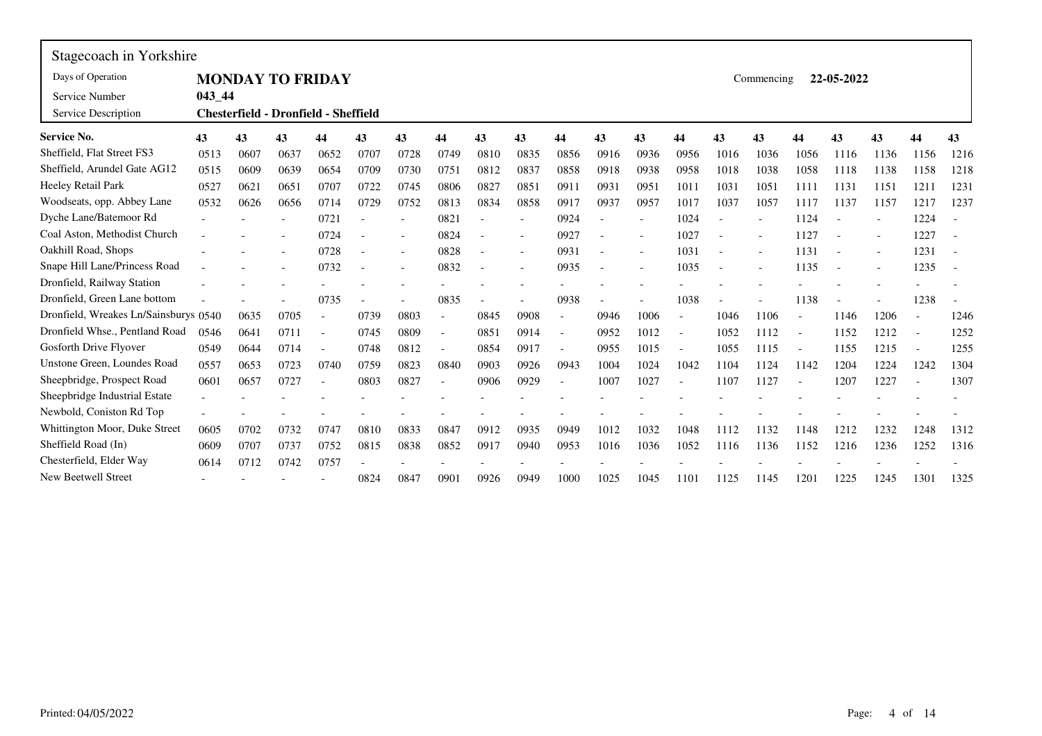| Stagecoach in Yorkshire               |            |      |      |                                             |      |      |                          |      |                          |                          |      |                          |                          |      |            |                |            |      |                          |      |
|---------------------------------------|------------|------|------|---------------------------------------------|------|------|--------------------------|------|--------------------------|--------------------------|------|--------------------------|--------------------------|------|------------|----------------|------------|------|--------------------------|------|
| Days of Operation                     |            |      |      | <b>MONDAY TO FRIDAY</b>                     |      |      |                          |      |                          |                          |      |                          |                          |      | Commencing |                | 22-05-2022 |      |                          |      |
| Service Number<br>Service Description | $043 - 44$ |      |      | <b>Chesterfield - Dronfield - Sheffield</b> |      |      |                          |      |                          |                          |      |                          |                          |      |            |                |            |      |                          |      |
| <b>Service No.</b>                    | 43         | 43   | 43   | 44                                          | 43   | 43   | 44                       | 43   | 43                       | 44                       | 43   | 43                       | 44                       | 43   | 43         | 44             | 43         | 43   | 44                       | 43   |
| Sheffield, Flat Street FS3            | 0513       | 0607 | 0637 | 0652                                        | 0707 | 0728 | 0749                     | 0810 | 0835                     | 0856                     | 0916 | 0936                     | 0956                     | 1016 | 1036       | 1056           | 1116       | 1136 | 1156                     | 1216 |
| Sheffield, Arundel Gate AG12          | 0515       | 0609 | 0639 | 0654                                        | 0709 | 0730 | 0751                     | 0812 | 0837                     | 0858                     | 0918 | 0938                     | 0958                     | 1018 | 1038       | 1058           | 1118       | 1138 | 1158                     | 1218 |
| Heeley Retail Park                    | 0527       | 0621 | 0651 | 0707                                        | 0722 | 0745 | 0806                     | 0827 | 0851                     | 0911                     | 0931 | 0951                     | 1011                     | 1031 | 1051       | 1111           | 1131       | 1151 | 1211                     | 1231 |
| Woodseats, opp. Abbey Lane            | 0532       | 0626 | 0656 | 0714                                        | 0729 | 0752 | 0813                     | 0834 | 0858                     | 0917                     | 0937 | 0957                     | 1017                     | 1037 | 1057       | 1117           | 1137       | 1157 | 1217                     | 1237 |
| Dyche Lane/Batemoor Rd                |            |      |      | 0721                                        |      |      | 0821                     |      | $\overline{\phantom{a}}$ | 0924                     |      |                          | 1024                     |      |            | 1124           |            |      | 1224                     |      |
| Coal Aston, Methodist Church          |            |      |      | 0724                                        |      |      | 0824                     |      |                          | 0927                     |      |                          | 1027                     |      |            | 1127           |            |      | 1227                     |      |
| Oakhill Road, Shops                   |            |      |      | 0728                                        |      |      | 0828                     |      | $\overline{\phantom{a}}$ | 0931                     |      | $\overline{\phantom{a}}$ | 1031                     |      |            | 1131           |            |      | 1231                     |      |
| Snape Hill Lane/Princess Road         |            |      |      | 0732                                        |      |      | 0832                     |      |                          | 0935                     |      |                          | 1035                     |      |            | 1135           |            |      | 1235                     |      |
| Dronfield, Railway Station            |            |      |      |                                             |      |      |                          |      |                          |                          |      |                          |                          |      |            |                |            |      |                          |      |
| Dronfield, Green Lane bottom          |            |      |      | 0735                                        |      |      | 0835                     |      |                          | 0938                     |      |                          | 1038                     |      |            | 1138           |            |      | 1238                     |      |
| Dronfield, Wreakes Ln/Sainsburys 0540 |            | 0635 | 0705 |                                             | 0739 | 0803 | $\overline{\phantom{a}}$ | 0845 | 0908                     | $\overline{\phantom{a}}$ | 0946 | 1006                     | $\overline{\phantom{a}}$ | 1046 | 1106       | $\overline{a}$ | 1146       | 1206 | $\overline{\phantom{a}}$ | 1246 |
| Dronfield Whse., Pentland Road        | 0546       | 0641 | 0711 |                                             | 0745 | 0809 | $\blacksquare$           | 0851 | 0914                     | $\overline{\phantom{a}}$ | 0952 | 1012                     | $\overline{a}$           | 1052 | 1112       |                | 1152       | 1212 |                          | 1252 |
| Gosforth Drive Flyover                | 0549       | 0644 | 0714 |                                             | 0748 | 0812 | $\overline{\phantom{a}}$ | 0854 | 0917                     | $\overline{a}$           | 0955 | 1015                     |                          | 1055 | 1115       |                | 1155       | 1215 |                          | 1255 |
| Unstone Green, Loundes Road           | 0557       | 0653 | 0723 | 0740                                        | 0759 | 0823 | 0840                     | 0903 | 0926                     | 0943                     | 1004 | 1024                     | 1042                     | 1104 | 1124       | 1142           | 1204       | 1224 | 1242                     | 1304 |
| Sheepbridge, Prospect Road            | 0601       | 0657 | 0727 |                                             | 0803 | 0827 | $\overline{\phantom{a}}$ | 0906 | 0929                     | $\overline{\phantom{a}}$ | 1007 | 1027                     |                          | 1107 | 1127       |                | 1207       | 1227 |                          | 1307 |
| Sheepbridge Industrial Estate         |            |      |      |                                             |      |      |                          |      |                          |                          |      |                          |                          |      |            |                |            |      |                          |      |
| Newbold, Coniston Rd Top              |            |      |      |                                             |      |      |                          |      |                          |                          |      |                          |                          |      |            |                |            |      |                          |      |
| Whittington Moor, Duke Street         | 0605       | 0702 | 0732 | 0747                                        | 0810 | 0833 | 0847                     | 0912 | 0935                     | 0949                     | 1012 | 1032                     | 1048                     | 1112 | 1132       | 1148           | 1212       | 1232 | 1248                     | 1312 |
| Sheffield Road (In)                   | 0609       | 0707 | 0737 | 0752                                        | 0815 | 0838 | 0852                     | 0917 | 0940                     | 0953                     | 1016 | 1036                     | 1052                     | 1116 | 1136       | 1152           | 1216       | 1236 | 1252                     | 1316 |
| Chesterfield, Elder Way               | 0614       | 0712 | 0742 | 0757                                        |      |      |                          |      |                          |                          |      |                          |                          |      |            |                |            |      |                          |      |
| <b>New Beetwell Street</b>            |            |      |      |                                             | 0824 | 0847 | 0901                     | 0926 | 0949                     | 1000                     | 1025 | 1045                     | 1101                     | 1125 | 1145       | 1201           | 1225       | 1245 | 1301                     | 1325 |

 $\mathbf{r}$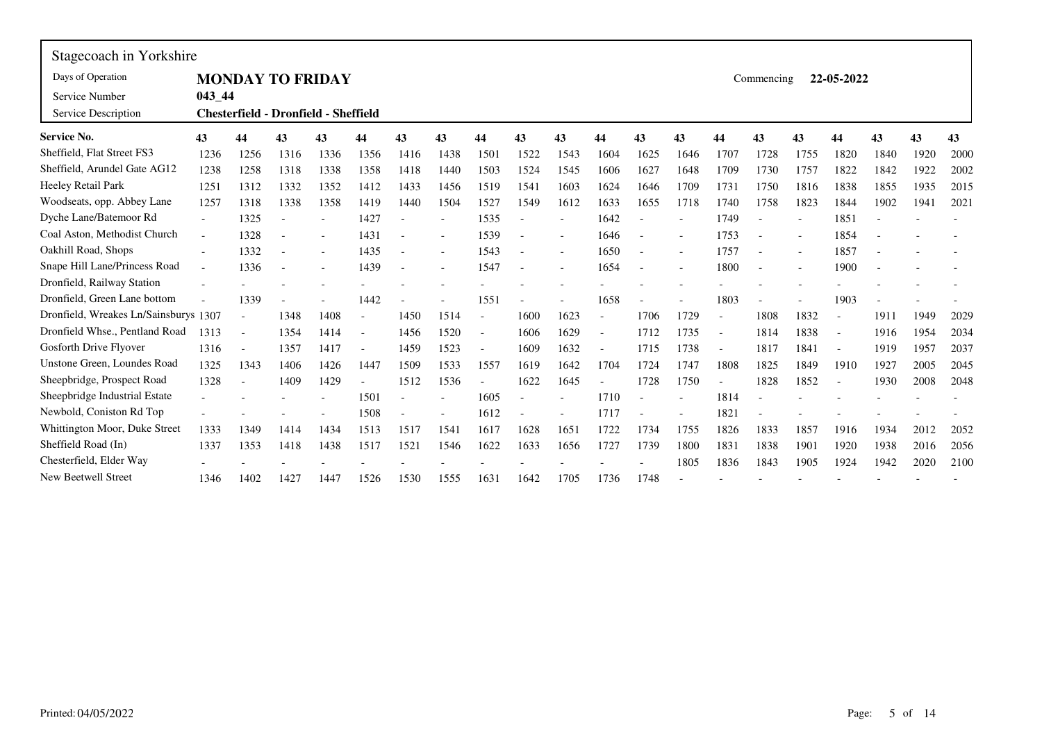| Stagecoach in Yorkshire               |                          |           |                          |                                      |                          |      |                          |                          |      |                          |                          |      |      |                          |            |      |                          |      |      |      |
|---------------------------------------|--------------------------|-----------|--------------------------|--------------------------------------|--------------------------|------|--------------------------|--------------------------|------|--------------------------|--------------------------|------|------|--------------------------|------------|------|--------------------------|------|------|------|
| Days of Operation                     |                          |           |                          | <b>MONDAY TO FRIDAY</b>              |                          |      |                          |                          |      |                          |                          |      |      |                          | Commencing |      | 22-05-2022               |      |      |      |
| Service Number<br>Service Description | 043 44                   |           |                          | Chesterfield - Dronfield - Sheffield |                          |      |                          |                          |      |                          |                          |      |      |                          |            |      |                          |      |      |      |
| <b>Service No.</b>                    | 43                       | 44        | 43                       | 43                                   | 44                       | 43   | 43                       | 44                       | 43   | 43                       | 44                       | 43   | 43   | 44                       | 43         | 43   | 44                       | 43   | 43   | 43   |
| Sheffield, Flat Street FS3            | 1236                     | 1256      | 1316                     | 1336                                 | 1356                     | 1416 | 1438                     | 1501                     | 1522 | 1543                     | 1604                     | 1625 | 1646 | 1707                     | 1728       | 1755 | 1820                     | 1840 | 1920 | 2000 |
| Sheffield, Arundel Gate AG12          | 1238                     | 1258      | 1318                     | 1338                                 | 1358                     | 1418 | 1440                     | 1503                     | 1524 | 1545                     | 1606                     | 1627 | 1648 | 1709                     | 1730       | 1757 | 1822                     | 1842 | 1922 | 2002 |
| Heeley Retail Park                    | 1251                     | 1312      | 1332                     | 1352                                 | 1412                     | 1433 | 1456                     | 1519                     | 1541 | 1603                     | 1624                     | 1646 | 1709 | 1731                     | 1750       | 1816 | 1838                     | 1855 | 1935 | 2015 |
| Woodseats, opp. Abbey Lane            | 1257                     | 1318      | 1338                     | 1358                                 | 1419                     | 1440 | 1504                     | 1527                     | 1549 | 1612                     | 1633                     | 1655 | 1718 | 1740                     | 1758       | 1823 | 1844                     | 1902 | 1941 | 2021 |
| Dyche Lane/Batemoor Rd                | $\overline{\phantom{0}}$ | 1325      |                          |                                      | 1427                     |      | $\overline{\phantom{a}}$ | 1535                     |      |                          | 1642                     |      |      | 1749                     |            |      | 1851                     |      |      |      |
| Coal Aston, Methodist Church          |                          | 1328      |                          |                                      | 1431                     |      |                          | 1539                     |      |                          | 1646                     |      |      | 1753                     |            |      | 1854                     |      |      |      |
| Oakhill Road, Shops                   |                          | 1332      |                          |                                      | 1435                     |      | $\overline{\phantom{a}}$ | 1543                     |      | $\overline{\phantom{0}}$ | 1650                     |      |      | 1757                     |            |      | 1857                     |      |      |      |
| Snape Hill Lane/Princess Road         |                          | 1336      | $\overline{\phantom{a}}$ |                                      | 1439                     |      | $\overline{\phantom{a}}$ | 1547                     |      |                          | 1654                     |      |      | 1800                     |            |      | 1900                     |      |      |      |
| Dronfield, Railway Station            |                          |           |                          |                                      |                          |      |                          |                          |      |                          |                          |      |      |                          |            |      |                          |      |      |      |
| Dronfield, Green Lane bottom          |                          | 1339      |                          |                                      | 1442                     |      |                          | 1551                     |      |                          | 1658                     |      |      | 1803                     |            |      | 1903                     |      |      |      |
| Dronfield, Wreakes Ln/Sainsburys 1307 |                          | $\bar{a}$ | 1348                     | 1408                                 |                          | 1450 | 1514                     | $\sim$                   | 1600 | 1623                     |                          | 1706 | 1729 |                          | 1808       | 1832 |                          | 1911 | 1949 | 2029 |
| Dronfield Whse., Pentland Road        | 1313                     | $\bar{a}$ | 1354                     | 1414                                 | $\overline{\phantom{a}}$ | 1456 | 1520                     | $\overline{\phantom{a}}$ | 1606 | 1629                     | $\overline{\phantom{a}}$ | 1712 | 1735 | $\overline{\phantom{a}}$ | 1814       | 1838 | $\overline{\phantom{a}}$ | 1916 | 1954 | 2034 |
| Gosforth Drive Flyover                | 1316                     |           | 1357                     | 1417                                 |                          | 1459 | 1523                     |                          | 1609 | 1632                     |                          | 1715 | 1738 | $\overline{a}$           | 1817       | 1841 | $\blacksquare$           | 1919 | 1957 | 2037 |
| Unstone Green, Loundes Road           | 1325                     | 1343      | 1406                     | 1426                                 | 1447                     | 1509 | 1533                     | 1557                     | 1619 | 1642                     | 1704                     | 1724 | 1747 | 1808                     | 1825       | 1849 | 1910                     | 1927 | 2005 | 2045 |
| Sheepbridge, Prospect Road            | 1328                     |           | 1409                     | 1429                                 |                          | 1512 | 1536                     |                          | 1622 | 1645                     |                          | 1728 | 1750 |                          | 1828       | 1852 |                          | 1930 | 2008 | 2048 |
| Sheepbridge Industrial Estate         |                          |           |                          |                                      | 1501                     |      |                          | 1605                     |      |                          | 1710                     |      |      | 1814                     |            |      |                          |      |      |      |
| Newbold, Coniston Rd Top              |                          |           |                          |                                      | 1508                     |      | $\overline{\phantom{a}}$ | 1612                     |      |                          | 1717                     |      |      | 1821                     |            |      |                          |      |      |      |
| Whittington Moor, Duke Street         | 1333                     | 1349      | 1414                     | 1434                                 | 1513                     | 1517 | 1541                     | 1617                     | 1628 | 1651                     | 1722                     | 1734 | 1755 | 1826                     | 1833       | 1857 | 1916                     | 1934 | 2012 | 2052 |
| Sheffield Road (In)                   | 1337                     | 1353      | 1418                     | 1438                                 | 1517                     | 1521 | 1546                     | 1622                     | 1633 | 1656                     | 1727                     | 1739 | 1800 | 1831                     | 1838       | 1901 | 1920                     | 1938 | 2016 | 2056 |
| Chesterfield, Elder Way               |                          |           |                          |                                      |                          |      |                          |                          |      |                          |                          |      | 1805 | 1836                     | 1843       | 1905 | 1924                     | 1942 | 2020 | 2100 |
| <b>New Beetwell Street</b>            | 1346                     | 1402      | 1427                     | 1447                                 | 1526                     | 1530 | 1555                     | 1631                     | 1642 | 1705                     | 1736                     | 1748 |      |                          |            |      |                          |      |      |      |

 $\mathbf{r}$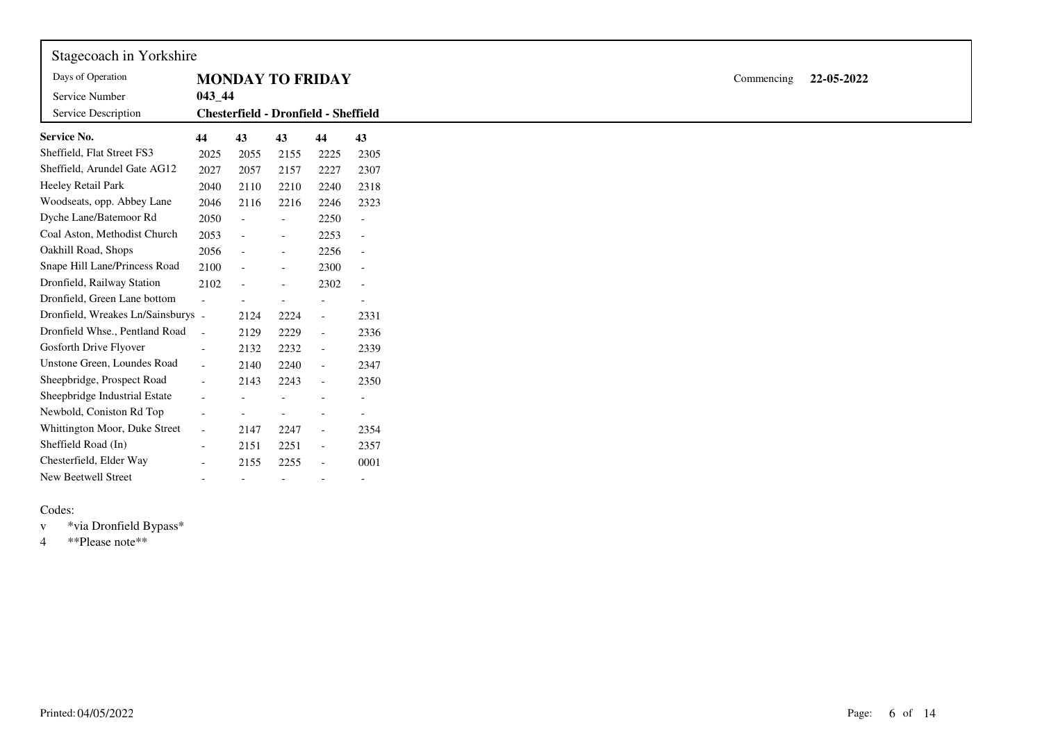| Stagecoach in Yorkshire            |                          |                                      |                          |                          |                          |
|------------------------------------|--------------------------|--------------------------------------|--------------------------|--------------------------|--------------------------|
| Days of Operation                  |                          | <b>MONDAY TO FRIDAY</b>              |                          |                          |                          |
| Service Number                     | $043 - 44$               |                                      |                          |                          |                          |
| Service Description                |                          | Chesterfield - Dronfield - Sheffield |                          |                          |                          |
| <b>Service No.</b>                 | 44                       | 43                                   | 43                       | 44                       | 43                       |
| Sheffield, Flat Street FS3         | 2025                     | 2055                                 | 2155                     | 2225                     | 2305                     |
| Sheffield, Arundel Gate AG12       | 2027                     | 2057                                 | 2157                     | 2227                     | 2307                     |
| Heeley Retail Park                 | 2040                     | 2110                                 | 2210                     | 2240                     | 2318                     |
| Woodseats, opp. Abbey Lane         | 2046                     | 2116                                 | 2216                     | 2246                     | 2323                     |
| Dyche Lane/Batemoor Rd             | 2050                     | $\overline{\phantom{a}}$             | $\overline{\phantom{a}}$ | 2250                     | $\overline{\phantom{a}}$ |
| Coal Aston, Methodist Church       | 2053                     | $\sim$                               | $\overline{\phantom{a}}$ | 2253                     | $\overline{\phantom{a}}$ |
| Oakhill Road, Shops                | 2056                     | $\blacksquare$                       | $\overline{\phantom{a}}$ | 2256                     | $\overline{\phantom{a}}$ |
| Snape Hill Lane/Princess Road      | 2100                     | $\sim$                               |                          | 2300                     | $\overline{\phantom{a}}$ |
| Dronfield, Railway Station         | 2102                     | $\overline{\phantom{a}}$             |                          | 2302                     | $\overline{\phantom{a}}$ |
| Dronfield, Green Lane bottom       |                          |                                      |                          |                          |                          |
| Dronfield, Wreakes Ln/Sainsburys - |                          | 2124                                 | 2224                     | $\overline{\phantom{a}}$ | 2331                     |
| Dronfield Whse., Pentland Road     | $\sim$                   | 2129                                 | 2229                     | $\sim$                   | 2336                     |
| Gosforth Drive Flyover             | $\blacksquare$           | 2132                                 | 2232                     | $\overline{\phantom{a}}$ | 2339                     |
| Unstone Green, Loundes Road        | $\sim$                   | 2140                                 | 2240                     | $\overline{\phantom{a}}$ | 2347                     |
| Sheepbridge, Prospect Road         | $\overline{\phantom{a}}$ | 2143                                 | 2243                     | $\overline{\phantom{a}}$ | 2350                     |
| Sheepbridge Industrial Estate      | $\blacksquare$           |                                      |                          |                          | $\overline{\phantom{a}}$ |
| Newbold, Coniston Rd Top           |                          |                                      |                          |                          |                          |
| Whittington Moor, Duke Street      | $\overline{\phantom{a}}$ | 2147                                 | 2247                     | $\overline{\phantom{a}}$ | 2354                     |
| Sheffield Road (In)                | $\blacksquare$           | 2151                                 | 2251                     | $\overline{\phantom{a}}$ | 2357                     |
| Chesterfield, Elder Way            | $\blacksquare$           | 2155                                 | 2255                     | $\overline{\phantom{a}}$ | 0001                     |
| New Beetwell Street                | $\overline{\phantom{a}}$ | $\overline{\phantom{a}}$             | $\overline{\phantom{a}}$ |                          |                          |

<sup>v</sup> \*via Dronfield Bypass\*

4 \*\*Please note\*\*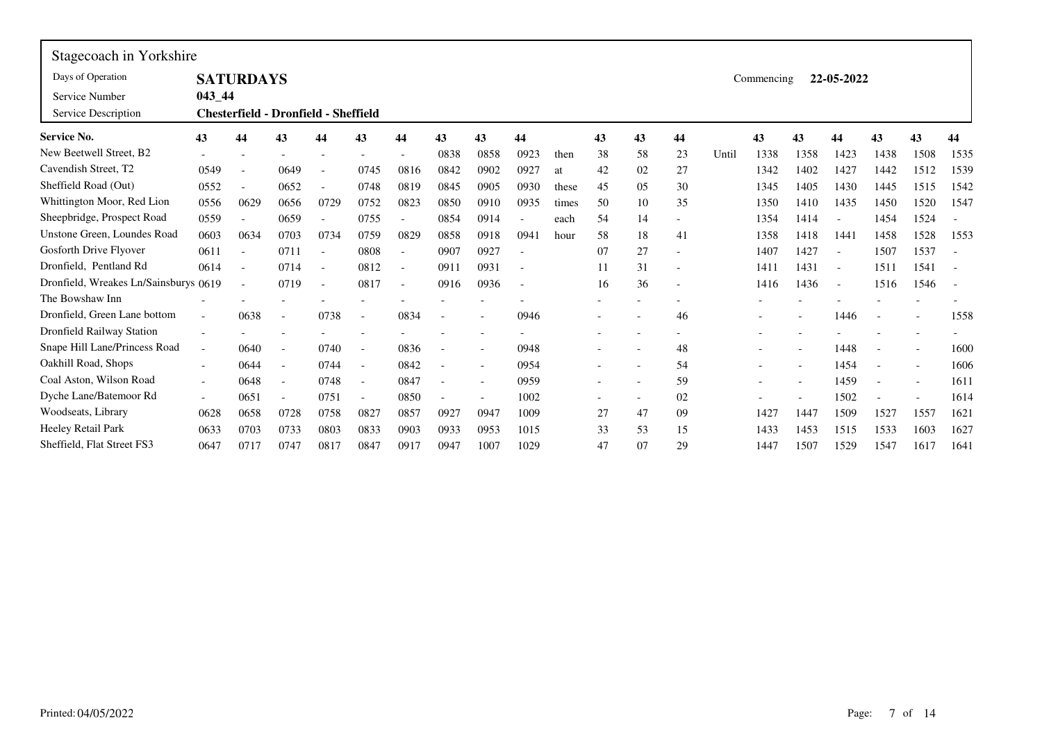| Stagecoach in Yorkshire               |                          |                                             |                          |      |                          |                          |                          |      |                          |       |    |    |    |       |            |      |                          |      |                          |      |
|---------------------------------------|--------------------------|---------------------------------------------|--------------------------|------|--------------------------|--------------------------|--------------------------|------|--------------------------|-------|----|----|----|-------|------------|------|--------------------------|------|--------------------------|------|
| Days of Operation                     |                          | <b>SATURDAYS</b>                            |                          |      |                          |                          |                          |      |                          |       |    |    |    |       | Commencing |      | 22-05-2022               |      |                          |      |
| Service Number                        | $043 - 44$               |                                             |                          |      |                          |                          |                          |      |                          |       |    |    |    |       |            |      |                          |      |                          |      |
| Service Description                   |                          | <b>Chesterfield - Dronfield - Sheffield</b> |                          |      |                          |                          |                          |      |                          |       |    |    |    |       |            |      |                          |      |                          |      |
| <b>Service No.</b>                    | 43                       | 44                                          | 43                       | 44   | 43                       | 44                       | 43                       | 43   | 44                       |       | 43 | 43 | 44 |       | 43         | 43   | 44                       | 43   | 43                       | 44   |
| New Beetwell Street, B2               |                          |                                             |                          |      |                          |                          | 0838                     | 0858 | 0923                     | then  | 38 | 58 | 23 | Until | 1338       | 1358 | 1423                     | 1438 | 1508                     | 1535 |
| Cavendish Street, T2                  | 0549                     | $\overline{a}$                              | 0649                     |      | 0745                     | 0816                     | 0842                     | 0902 | 0927                     | at    | 42 | 02 | 27 |       | 1342       | 1402 | 1427                     | 1442 | 1512                     | 1539 |
| Sheffield Road (Out)                  | 0552                     | $\overline{\phantom{a}}$                    | 0652                     |      | 0748                     | 0819                     | 0845                     | 0905 | 0930                     | these | 45 | 05 | 30 |       | 1345       | 1405 | 1430                     | 1445 | 1515                     | 1542 |
| Whittington Moor, Red Lion            | 0556                     | 0629                                        | 0656                     | 0729 | 0752                     | 0823                     | 0850                     | 0910 | 0935                     | times | 50 | 10 | 35 |       | 1350       | 1410 | 1435                     | 1450 | 1520                     | 1547 |
| Sheepbridge, Prospect Road            | 0559                     |                                             | 0659                     |      | 0755                     | $\overline{\phantom{a}}$ | 0854                     | 0914 |                          | each  | 54 | 14 |    |       | 1354       | 1414 |                          | 1454 | 1524                     |      |
| Unstone Green, Loundes Road           | 0603                     | 0634                                        | 0703                     | 0734 | 0759                     | 0829                     | 0858                     | 0918 | 0941                     | hour  | 58 | 18 | 41 |       | 1358       | 1418 | 1441                     | 1458 | 1528                     | 1553 |
| Gosforth Drive Flyover                | 0611                     | $\overline{\phantom{a}}$                    | 0711                     |      | 0808                     |                          | 0907                     | 0927 |                          |       | 07 | 27 |    |       | 1407       | 1427 |                          | 1507 | 1537                     |      |
| Dronfield, Pentland Rd                | 0614                     | $\overline{\phantom{a}}$                    | 0714                     |      | 0812                     | $\overline{\phantom{a}}$ | 0911                     | 0931 | $\overline{\phantom{a}}$ |       | 11 | 31 |    |       | 1411       | 1431 | $\overline{\phantom{a}}$ | 1511 | 1541                     |      |
| Dronfield, Wreakes Ln/Sainsburys 0619 |                          | $\overline{\phantom{a}}$                    | 0719                     |      | 0817                     | $\overline{\phantom{a}}$ | 0916                     | 0936 |                          |       | 16 | 36 |    |       | 1416       | 1436 | $\overline{\phantom{a}}$ | 1516 | 1546                     |      |
| The Bowshaw Inn                       |                          |                                             |                          |      |                          |                          |                          |      |                          |       |    |    |    |       |            |      |                          |      |                          |      |
| Dronfield, Green Lane bottom          |                          | 0638                                        | $\overline{\phantom{a}}$ | 0738 |                          | 0834                     |                          |      | 0946                     |       |    |    | 46 |       |            |      | 1446                     |      |                          | 1558 |
| Dronfield Railway Station             |                          |                                             |                          |      |                          |                          |                          |      |                          |       |    |    |    |       |            |      |                          |      | $\overline{\phantom{0}}$ |      |
| Snape Hill Lane/Princess Road         | $\overline{\phantom{a}}$ | 0640                                        | $\overline{\phantom{a}}$ | 0740 | $\overline{\phantom{a}}$ | 0836                     |                          |      | 0948                     |       |    |    | 48 |       |            |      | 1448                     |      | $\overline{\phantom{a}}$ | 1600 |
| Oakhill Road, Shops                   | $\overline{\phantom{a}}$ | 0644                                        | $\overline{\phantom{a}}$ | 0744 | $\overline{\phantom{a}}$ | 0842                     |                          |      | 0954                     |       |    |    | 54 |       |            |      | 1454                     |      | $\blacksquare$           | 1606 |
| Coal Aston, Wilson Road               | $\overline{\phantom{a}}$ | 0648                                        | $\overline{\phantom{a}}$ | 0748 | $\overline{\phantom{a}}$ | 0847                     |                          |      | 0959                     |       |    |    | 59 |       |            |      | 1459                     |      | $\overline{\phantom{a}}$ | 1611 |
| Dyche Lane/Batemoor Rd                | $\overline{\phantom{a}}$ | 0651                                        | $\overline{\phantom{a}}$ | 0751 | $\overline{\phantom{a}}$ | 0850                     | $\overline{\phantom{a}}$ |      | 1002                     |       |    |    | 02 |       |            |      | 1502                     |      | $\blacksquare$           | 1614 |
| Woodseats, Library                    | 0628                     | 0658                                        | 0728                     | 0758 | 0827                     | 0857                     | 0927                     | 0947 | 1009                     |       | 27 | 47 | 09 |       | 1427       | 1447 | 1509                     | 1527 | 1557                     | 1621 |
| <b>Heeley Retail Park</b>             | 0633                     | 0703                                        | 0733                     | 0803 | 0833                     | 0903                     | 0933                     | 0953 | 1015                     |       | 33 | 53 | 15 |       | 1433       | 1453 | 1515                     | 1533 | 1603                     | 1627 |
| Sheffield, Flat Street FS3            | 0647                     | 0717                                        | 0747                     | 0817 | 0847                     | 0917                     | 0947                     | 1007 | 1029                     |       | 47 | 07 | 29 |       | 1447       | 1507 | 1529                     | 1547 | 1617                     | 1641 |

 $\mathbf{r}$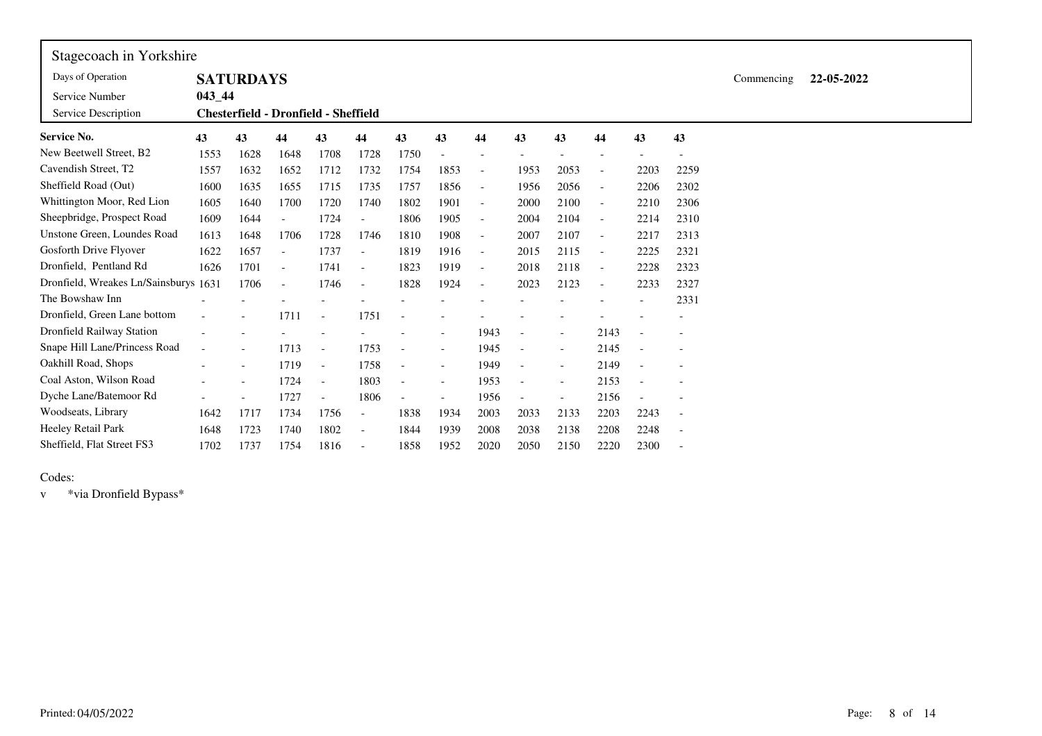| Stagecoach in Yorkshire               |            |                          |                          |                                             |                          |                          |                          |                          |                          |                          |                          |      |                          |            |            |  |
|---------------------------------------|------------|--------------------------|--------------------------|---------------------------------------------|--------------------------|--------------------------|--------------------------|--------------------------|--------------------------|--------------------------|--------------------------|------|--------------------------|------------|------------|--|
| Days of Operation                     |            | <b>SATURDAYS</b>         |                          |                                             |                          |                          |                          |                          |                          |                          |                          |      |                          | Commencing | 22-05-2022 |  |
| Service Number                        | $043 - 44$ |                          |                          |                                             |                          |                          |                          |                          |                          |                          |                          |      |                          |            |            |  |
| Service Description                   |            |                          |                          | <b>Chesterfield - Dronfield - Sheffield</b> |                          |                          |                          |                          |                          |                          |                          |      |                          |            |            |  |
| <b>Service No.</b>                    | 43         | 43                       | 44                       | 43                                          | 44                       | 43                       | 43                       | 44                       | 43                       | 43                       | 44                       | 43   | 43                       |            |            |  |
| New Beetwell Street, B2               | 1553       | 1628                     | 1648                     | 1708                                        | 1728                     | 1750                     |                          |                          |                          |                          |                          |      |                          |            |            |  |
| Cavendish Street, T2                  | 1557       | 1632                     | 1652                     | 1712                                        | 1732                     | 1754                     | 1853                     | $\overline{\phantom{a}}$ | 1953                     | 2053                     | $\overline{\phantom{a}}$ | 2203 | 2259                     |            |            |  |
| Sheffield Road (Out)                  | 1600       | 1635                     | 1655                     | 1715                                        | 1735                     | 1757                     | 1856                     | $\overline{\phantom{a}}$ | 1956                     | 2056                     | $\overline{\phantom{a}}$ | 2206 | 2302                     |            |            |  |
| Whittington Moor, Red Lion            | 1605       | 1640                     | 1700                     | 1720                                        | 1740                     | 1802                     | 1901                     | $\overline{\phantom{a}}$ | 2000                     | 2100                     | $\overline{\phantom{a}}$ | 2210 | 2306                     |            |            |  |
| Sheepbridge, Prospect Road            | 1609       | 1644                     | $\overline{\phantom{a}}$ | 1724                                        | $\overline{\phantom{a}}$ | 1806                     | 1905                     | $\overline{\phantom{a}}$ | 2004                     | 2104                     | $\overline{\phantom{a}}$ | 2214 | 2310                     |            |            |  |
| Unstone Green, Loundes Road           | 1613       | 1648                     | 1706                     | 1728                                        | 1746                     | 1810                     | 1908                     | $\overline{\phantom{a}}$ | 2007                     | 2107                     | $\overline{\phantom{a}}$ | 2217 | 2313                     |            |            |  |
| Gosforth Drive Flyover                | 1622       | 1657                     | $\overline{\phantom{a}}$ | 1737                                        | $\overline{\phantom{a}}$ | 1819                     | 1916                     | $\overline{\phantom{a}}$ | 2015                     | 2115                     | $\overline{\phantom{a}}$ | 2225 | 2321                     |            |            |  |
| Dronfield, Pentland Rd                | 1626       | 1701                     | $\overline{\phantom{a}}$ | 1741                                        | $\overline{\phantom{a}}$ | 1823                     | 1919                     | $\overline{\phantom{a}}$ | 2018                     | 2118                     | $\overline{\phantom{a}}$ | 2228 | 2323                     |            |            |  |
| Dronfield, Wreakes Ln/Sainsburys 1631 |            | 1706                     | $\overline{\phantom{a}}$ | 1746                                        | $\overline{\phantom{a}}$ | 1828                     | 1924                     | $\overline{\phantom{a}}$ | 2023                     | 2123                     | $\overline{\phantom{a}}$ | 2233 | 2327                     |            |            |  |
| The Bowshaw Inn                       |            |                          |                          |                                             |                          |                          |                          |                          |                          |                          |                          |      | 2331                     |            |            |  |
| Dronfield, Green Lane bottom          |            |                          | 1711                     | $\blacksquare$                              | 1751                     |                          |                          |                          |                          |                          |                          |      |                          |            |            |  |
| Dronfield Railway Station             |            |                          |                          |                                             |                          |                          |                          | 1943                     | $\overline{\phantom{a}}$ | $\overline{\phantom{a}}$ | 2143                     |      |                          |            |            |  |
| Snape Hill Lane/Princess Road         | $\sim$     | $\blacksquare$           | 1713                     | $\overline{\phantom{a}}$                    | 1753                     | $\blacksquare$           | $\overline{\phantom{a}}$ | 1945                     |                          | $\overline{\phantom{a}}$ | 2145                     |      |                          |            |            |  |
| Oakhill Road, Shops                   |            | $\overline{\phantom{a}}$ | 1719                     | $\overline{\phantom{a}}$                    | 1758                     | $\blacksquare$           | $\overline{\phantom{a}}$ | 1949                     | $\overline{\phantom{a}}$ | $\overline{\phantom{a}}$ | 2149                     |      |                          |            |            |  |
| Coal Aston, Wilson Road               |            | $\overline{\phantom{a}}$ | 1724                     | $\overline{\phantom{a}}$                    | 1803                     | $\blacksquare$           | $\overline{\phantom{a}}$ | 1953                     |                          | $\overline{\phantom{a}}$ | 2153                     |      |                          |            |            |  |
| Dyche Lane/Batemoor Rd                |            | $\overline{\phantom{a}}$ | 1727                     | $\overline{\phantom{a}}$                    | 1806                     | $\overline{\phantom{a}}$ | $\overline{\phantom{a}}$ | 1956                     | $\overline{\phantom{a}}$ | $\overline{\phantom{a}}$ | 2156                     |      |                          |            |            |  |
| Woodseats, Library                    | 1642       | 1717                     | 1734                     | 1756                                        | $\overline{\phantom{a}}$ | 1838                     | 1934                     | 2003                     | 2033                     | 2133                     | 2203                     | 2243 | $\overline{\phantom{a}}$ |            |            |  |
| <b>Heeley Retail Park</b>             | 1648       | 1723                     | 1740                     | 1802                                        | $\overline{\phantom{a}}$ | 1844                     | 1939                     | 2008                     | 2038                     | 2138                     | 2208                     | 2248 |                          |            |            |  |
| Sheffield, Flat Street FS3            | 1702       | 1737                     | 1754                     | 1816                                        | $\overline{\phantom{a}}$ | 1858                     | 1952                     | 2020                     | 2050                     | 2150                     | 2220                     | 2300 |                          |            |            |  |

 $\blacksquare$ 

<sup>v</sup> \*via Dronfield Bypass\*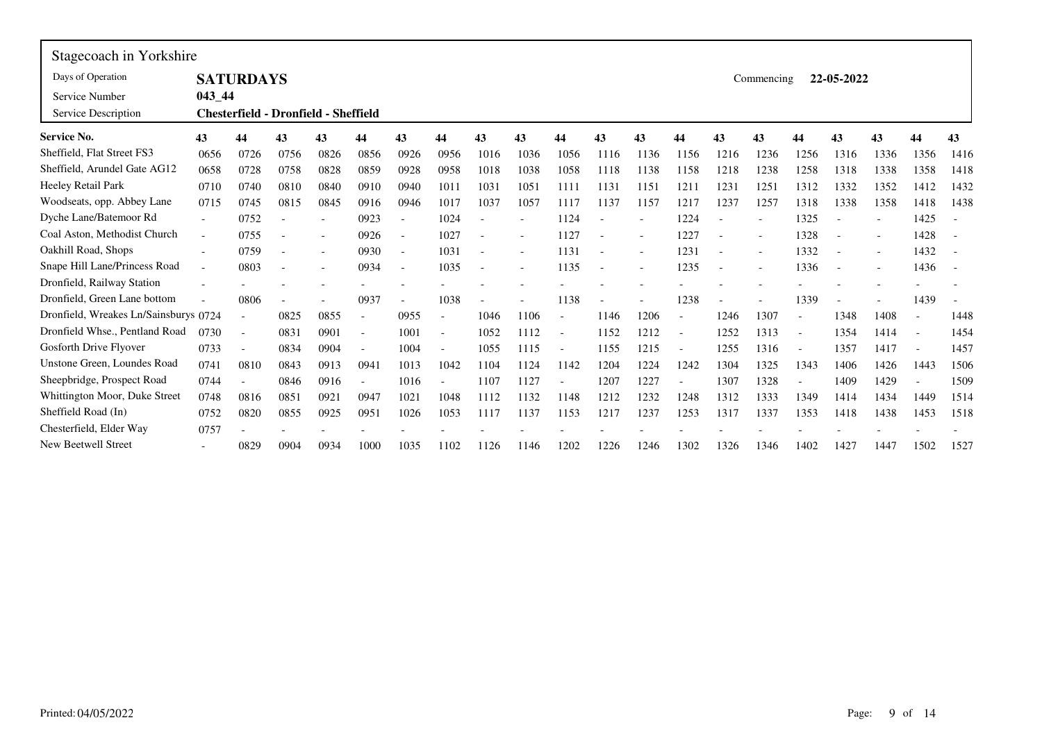| Stagecoach in Yorkshire               |                          |                                             |                          |      |                          |                          |                          |      |      |                          |      |                          |                   |      |            |      |            |      |      |      |
|---------------------------------------|--------------------------|---------------------------------------------|--------------------------|------|--------------------------|--------------------------|--------------------------|------|------|--------------------------|------|--------------------------|-------------------|------|------------|------|------------|------|------|------|
| Days of Operation                     |                          | <b>SATURDAYS</b>                            |                          |      |                          |                          |                          |      |      |                          |      |                          |                   |      | Commencing |      | 22-05-2022 |      |      |      |
| Service Number                        | 043 44                   |                                             |                          |      |                          |                          |                          |      |      |                          |      |                          |                   |      |            |      |            |      |      |      |
| Service Description                   |                          | <b>Chesterfield - Dronfield - Sheffield</b> |                          |      |                          |                          |                          |      |      |                          |      |                          |                   |      |            |      |            |      |      |      |
| <b>Service No.</b>                    | 43                       | 44                                          | 43                       | 43   | 44                       | 43                       | 44                       | 43   | 43   | 44                       | 43   | 43                       | 44                | 43   | 43         | 44   | 43         | 43   | 44   | 43   |
| Sheffield, Flat Street FS3            | 0656                     | 0726                                        | 0756                     | 0826 | 0856                     | 0926                     | 0956                     | 1016 | 1036 | 1056                     | 1116 | 1136                     | 1156              | 1216 | 1236       | 1256 | 1316       | 1336 | 1356 | 1416 |
| Sheffield, Arundel Gate AG12          | 0658                     | 0728                                        | 0758                     | 0828 | 0859                     | 0928                     | 0958                     | 1018 | 1038 | 1058                     | 1118 | 1138                     | 1158              | 1218 | 1238       | 1258 | 1318       | 1338 | 1358 | 1418 |
| Heeley Retail Park                    | 0710                     | 0740                                        | 0810                     | 0840 | 0910                     | 0940                     | 1011                     | 1031 | 1051 | 1111                     | 1131 | 1151                     | 1211              | 1231 | 1251       | 1312 | 1332       | 1352 | 1412 | 1432 |
| Woodseats, opp. Abbey Lane            | 0715                     | 0745                                        | 0815                     | 0845 | 0916                     | 0946                     | 1017                     | 1037 | 1057 | 1117                     | 1137 | 1157                     | 1217              | 1237 | 1257       | 1318 | 1338       | 1358 | 1418 | 1438 |
| Dyche Lane/Batemoor Rd                |                          | 0752                                        |                          |      | 0923                     |                          | 1024                     |      |      | 1124                     |      |                          | 1224              |      |            | 1325 |            |      | 1425 |      |
| Coal Aston, Methodist Church          | $\overline{\phantom{a}}$ | 0755                                        | $\overline{\phantom{a}}$ |      | 0926                     | $\overline{\phantom{a}}$ | 1027                     |      |      | 1127                     |      | $\overline{\phantom{a}}$ | 1227              |      |            | 1328 |            |      | 1428 |      |
| Oakhill Road, Shops                   |                          | 0759                                        |                          |      | 0930                     |                          | 1031                     |      |      | 1131                     |      |                          | 1231              |      |            | 1332 |            |      | 1432 |      |
| Snape Hill Lane/Princess Road         | $\overline{\phantom{a}}$ | 0803                                        | $\overline{\phantom{a}}$ |      | 0934                     | $\overline{\phantom{a}}$ | 1035                     |      |      | 1135                     |      |                          | 1235              |      |            | 1336 |            |      | 1436 |      |
| Dronfield, Railway Station            |                          |                                             |                          |      |                          |                          |                          |      |      |                          |      |                          |                   |      |            |      |            |      |      |      |
| Dronfield, Green Lane bottom          |                          | 0806                                        | $\overline{\phantom{a}}$ |      | 0937                     | $\overline{\phantom{a}}$ | 1038                     |      |      | 1138                     |      |                          | 1238              |      |            | 1339 |            |      | 1439 |      |
| Dronfield, Wreakes Ln/Sainsburys 0724 |                          | $\blacksquare$                              | 0825                     | 0855 |                          | 0955                     | $\overline{\phantom{a}}$ | 1046 | 1106 | $\overline{\phantom{a}}$ | 1146 | 1206                     | $\qquad \qquad -$ | 1246 | 1307       |      | 1348       | 1408 |      | 1448 |
| Dronfield Whse., Pentland Road        | 0730                     | $\overline{a}$                              | 0831                     | 0901 | $\blacksquare$           | 1001                     | $\overline{\phantom{a}}$ | 1052 | 1112 | $\overline{\phantom{a}}$ | 1152 | 1212                     | $\qquad \qquad -$ | 1252 | 1313       |      | 1354       | 1414 |      | 1454 |
| Gosforth Drive Flyover                | 0733                     | $\overline{\phantom{a}}$                    | 0834                     | 0904 | $\overline{\phantom{a}}$ | 1004                     | $\overline{\phantom{a}}$ | 1055 | 1115 | $\overline{\phantom{a}}$ | 1155 | 1215                     |                   | 1255 | 1316       |      | 1357       | 1417 |      | 1457 |
| Unstone Green, Loundes Road           | 0741                     | 0810                                        | 0843                     | 0913 | 0941                     | 1013                     | 1042                     | 1104 | 1124 | 1142                     | 1204 | 1224                     | 1242              | 1304 | 1325       | 1343 | 1406       | 1426 | 1443 | 1506 |
| Sheepbridge, Prospect Road            | 0744                     |                                             | 0846                     | 0916 |                          | 1016                     | $\overline{\phantom{a}}$ | 1107 | 1127 |                          | 1207 | 1227                     |                   | 1307 | 1328       |      | 1409       | 1429 |      | 1509 |
| Whittington Moor, Duke Street         | 0748                     | 0816                                        | 0851                     | 0921 | 0947                     | 1021                     | 1048                     | 1112 | 1132 | 1148                     | 1212 | 1232                     | 1248              | 1312 | 1333       | 1349 | 1414       | 1434 | 1449 | 1514 |
| Sheffield Road (In)                   | 0752                     | 0820                                        | 0855                     | 0925 | 0951                     | 1026                     | 1053                     | 1117 | 1137 | 1153                     | 1217 | 1237                     | 1253              | 1317 | 1337       | 1353 | 1418       | 1438 | 1453 | 1518 |
| Chesterfield, Elder Way               | 0757                     |                                             |                          |      |                          |                          |                          |      |      |                          |      |                          |                   |      |            |      |            |      |      |      |
| New Beetwell Street                   |                          | 0829                                        | 0904                     | 0934 | 1000                     | 1035                     | 1102                     | 1126 | 1146 | 1202                     | 1226 | 1246                     | 1302              | 1326 | 1346       | 1402 | 1427       | 1447 | 1502 | 1527 |

 $\blacksquare$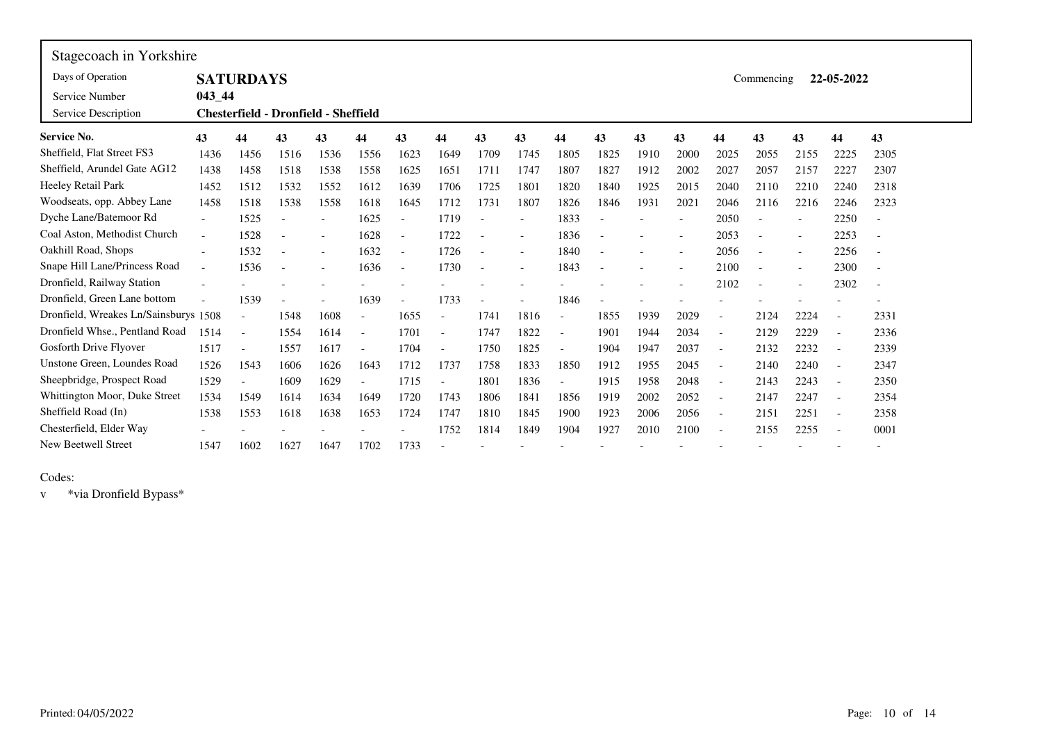| Stagecoach in Yorkshire               |                          |                          |                                             |                          |                          |                          |                          |                          |                   |                          |      |      |                          |                          |            |                          |                          |                          |
|---------------------------------------|--------------------------|--------------------------|---------------------------------------------|--------------------------|--------------------------|--------------------------|--------------------------|--------------------------|-------------------|--------------------------|------|------|--------------------------|--------------------------|------------|--------------------------|--------------------------|--------------------------|
| Days of Operation                     |                          | <b>SATURDAYS</b>         |                                             |                          |                          |                          |                          |                          |                   |                          |      |      |                          |                          | Commencing |                          | 22-05-2022               |                          |
| Service Number                        | $043 - 44$               |                          |                                             |                          |                          |                          |                          |                          |                   |                          |      |      |                          |                          |            |                          |                          |                          |
| Service Description                   |                          |                          | <b>Chesterfield - Dronfield - Sheffield</b> |                          |                          |                          |                          |                          |                   |                          |      |      |                          |                          |            |                          |                          |                          |
| <b>Service No.</b>                    | 43                       | 44                       | 43                                          | 43                       | 44                       | 43                       | 44                       | 43                       | 43                | 44                       | 43   | 43   | 43                       | 44                       | 43         | 43                       | 44                       | 43                       |
| Sheffield, Flat Street FS3            | 1436                     | 1456                     | 1516                                        | 1536                     | 1556                     | 1623                     | 1649                     | 1709                     | 1745              | 1805                     | 1825 | 1910 | 2000                     | 2025                     | 2055       | 2155                     | 2225                     | 2305                     |
| Sheffield, Arundel Gate AG12          | 1438                     | 1458                     | 1518                                        | 1538                     | 1558                     | 1625                     | 1651                     | 1711                     | 1747              | 1807                     | 1827 | 1912 | 2002                     | 2027                     | 2057       | 2157                     | 2227                     | 2307                     |
| Heeley Retail Park                    | 1452                     | 1512                     | 1532                                        | 1552                     | 1612                     | 1639                     | 1706                     | 1725                     | 1801              | 1820                     | 1840 | 1925 | 2015                     | 2040                     | 2110       | 2210                     | 2240                     | 2318                     |
| Woodseats, opp. Abbey Lane            | 1458                     | 1518                     | 1538                                        | 1558                     | 1618                     | 1645                     | 1712                     | 1731                     | 1807              | 1826                     | 1846 | 1931 | 2021                     | 2046                     | 2116       | 2216                     | 2246                     | 2323                     |
| Dyche Lane/Batemoor Rd                | $\overline{\phantom{0}}$ | 1525                     |                                             | $\overline{\phantom{a}}$ | 1625                     | $\overline{\phantom{a}}$ | 1719                     |                          |                   | 1833                     |      |      | $\overline{\phantom{a}}$ | 2050                     |            | $\overline{\phantom{a}}$ | 2250                     | $\overline{\phantom{a}}$ |
| Coal Aston, Methodist Church          | $\overline{\phantom{a}}$ | 1528                     |                                             | $\overline{\phantom{a}}$ | 1628                     | $\overline{\phantom{a}}$ | 1722                     | $\overline{\phantom{a}}$ | $\qquad \qquad -$ | 1836                     |      |      | $\overline{\phantom{a}}$ | 2053                     |            | $\overline{\phantom{a}}$ | 2253                     | $\overline{\phantom{a}}$ |
| Oakhill Road, Shops                   | $\overline{\phantom{a}}$ | 1532                     |                                             |                          | 1632                     | $\overline{\phantom{a}}$ | 1726                     |                          | $\overline{a}$    | 1840                     |      |      | $\overline{\phantom{a}}$ | 2056                     |            | $\overline{\phantom{a}}$ | 2256                     | $\overline{\phantom{a}}$ |
| Snape Hill Lane/Princess Road         | $\sim$                   | 1536                     |                                             |                          | 1636                     | $\overline{\phantom{a}}$ | 1730                     | $\overline{\phantom{a}}$ |                   | 1843                     |      |      |                          | 2100                     |            | $\overline{\phantom{a}}$ | 2300                     | $\overline{\phantom{a}}$ |
| Dronfield, Railway Station            |                          |                          |                                             |                          |                          |                          |                          |                          |                   |                          |      |      |                          | 2102                     |            |                          | 2302                     | $\overline{\phantom{a}}$ |
| Dronfield, Green Lane bottom          |                          | 1539                     |                                             |                          | 1639                     | $\overline{\phantom{a}}$ | 1733                     | $\overline{a}$           |                   | 1846                     |      |      |                          |                          |            |                          |                          |                          |
| Dronfield, Wreakes Ln/Sainsburys 1508 |                          |                          | 1548                                        | 1608                     | $\overline{\phantom{a}}$ | 1655                     |                          | 1741                     | 1816              | $\overline{\phantom{a}}$ | 1855 | 1939 | 2029                     | $\overline{a}$           | 2124       | 2224                     | $\overline{\phantom{a}}$ | 2331                     |
| Dronfield Whse., Pentland Road        | 1514                     | $\overline{\phantom{a}}$ | 1554                                        | 1614                     | $\overline{\phantom{a}}$ | 1701                     | $\overline{\phantom{a}}$ | 1747                     | 1822              | $\overline{\phantom{a}}$ | 1901 | 1944 | 2034                     | $\overline{\phantom{a}}$ | 2129       | 2229                     | $\overline{\phantom{a}}$ | 2336                     |
| Gosforth Drive Flyover                | 1517                     |                          | 1557                                        | 1617                     | $\overline{a}$           | 1704                     | $\blacksquare$           | 1750                     | 1825              | $\overline{\phantom{a}}$ | 1904 | 1947 | 2037                     | $\overline{\phantom{a}}$ | 2132       | 2232                     | $\overline{\phantom{a}}$ | 2339                     |
| Unstone Green, Loundes Road           | 1526                     | 1543                     | 1606                                        | 1626                     | 1643                     | 1712                     | 1737                     | 1758                     | 1833              | 1850                     | 1912 | 1955 | 2045                     | $\overline{\phantom{a}}$ | 2140       | 2240                     | $\blacksquare$           | 2347                     |
| Sheepbridge, Prospect Road            | 1529                     |                          | 1609                                        | 1629                     | $\overline{\phantom{a}}$ | 1715                     |                          | 1801                     | 1836              |                          | 1915 | 1958 | 2048                     | $\overline{\phantom{a}}$ | 2143       | 2243                     | $\overline{\phantom{a}}$ | 2350                     |
| Whittington Moor, Duke Street         | 1534                     | 1549                     | 1614                                        | 1634                     | 1649                     | 1720                     | 1743                     | 1806                     | 1841              | 1856                     | 1919 | 2002 | 2052                     | $\overline{\phantom{a}}$ | 2147       | 2247                     | $\overline{\phantom{a}}$ | 2354                     |
| Sheffield Road (In)                   | 1538                     | 1553                     | 1618                                        | 1638                     | 1653                     | 1724                     | 1747                     | 1810                     | 1845              | 1900                     | 1923 | 2006 | 2056                     | $\blacksquare$           | 2151       | 2251                     | $\blacksquare$           | 2358                     |
| Chesterfield, Elder Way               |                          |                          |                                             |                          |                          |                          | 1752                     | 1814                     | 1849              | 1904                     | 1927 | 2010 | 2100                     | $\overline{\phantom{a}}$ | 2155       | 2255                     | $\overline{\phantom{a}}$ | 0001                     |
| <b>New Beetwell Street</b>            | 1547                     | 1602                     | 1627                                        | 1647                     | 1702                     | 1733                     |                          |                          |                   |                          |      |      |                          |                          |            |                          |                          |                          |

F

<sup>v</sup> \*via Dronfield Bypass\*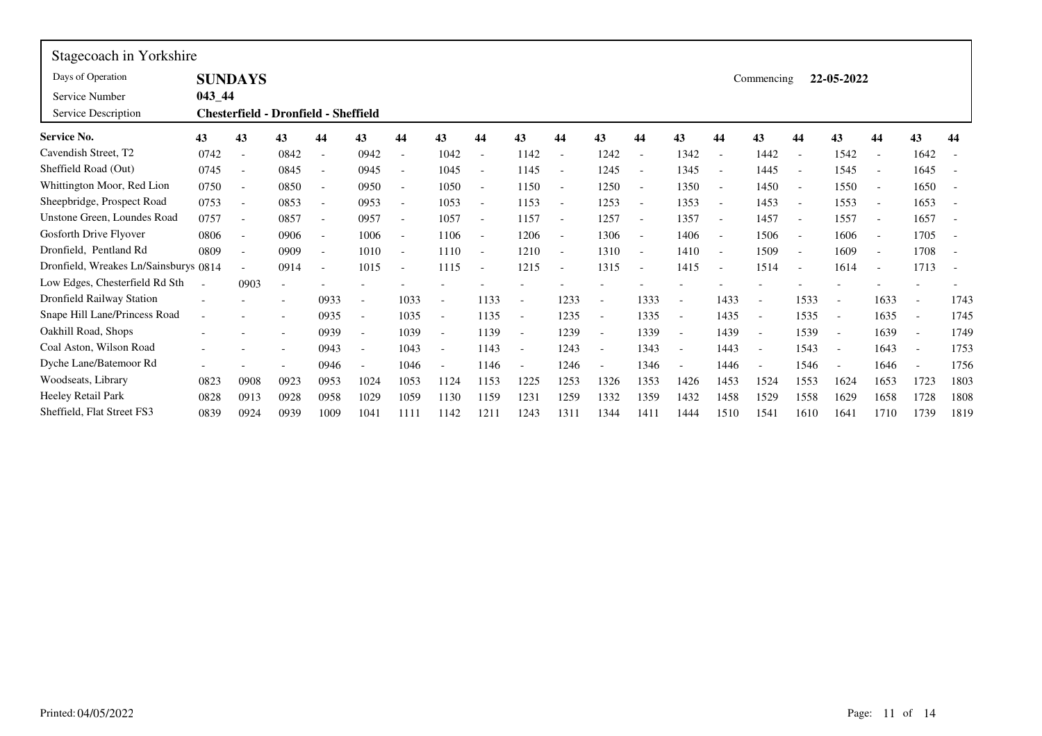| Stagecoach in Yorkshire               |            |                          |                                      |                          |                          |                          |                          |                          |                          |                          |                          |                          |                          |                          |                          |                          |                          |      |                          |      |
|---------------------------------------|------------|--------------------------|--------------------------------------|--------------------------|--------------------------|--------------------------|--------------------------|--------------------------|--------------------------|--------------------------|--------------------------|--------------------------|--------------------------|--------------------------|--------------------------|--------------------------|--------------------------|------|--------------------------|------|
| Days of Operation                     |            | <b>SUNDAYS</b>           |                                      |                          |                          |                          |                          |                          |                          |                          |                          |                          |                          |                          | Commencing               |                          | 22-05-2022               |      |                          |      |
| Service Number                        | $043 - 44$ |                          |                                      |                          |                          |                          |                          |                          |                          |                          |                          |                          |                          |                          |                          |                          |                          |      |                          |      |
| Service Description                   |            |                          | Chesterfield - Dronfield - Sheffield |                          |                          |                          |                          |                          |                          |                          |                          |                          |                          |                          |                          |                          |                          |      |                          |      |
| <b>Service No.</b>                    | 43         | 43                       | 43                                   | 44                       | 43                       | 44                       | 43                       | 44                       | 43                       | 44                       | 43                       | 44                       | 43                       | 44                       | 43                       | 44                       | 43                       | 44   | 43                       | 44   |
| Cavendish Street, T2                  | 0742       | $\overline{\phantom{a}}$ | 0842                                 | $\overline{\phantom{a}}$ | 0942                     | $\overline{\phantom{a}}$ | 1042                     | $\overline{\phantom{a}}$ | 1142                     | $\overline{\phantom{a}}$ | 1242                     | $\overline{\phantom{a}}$ | 1342                     | $\overline{\phantom{a}}$ | 1442                     |                          | 1542                     |      | 1642                     |      |
| Sheffield Road (Out)                  | 0745       | $\overline{a}$           | 0845                                 | $\overline{a}$           | 0945                     |                          | 1045                     | $\overline{a}$           | 1145                     |                          | 1245                     | $\overline{\phantom{a}}$ | 1345                     | $\blacksquare$           | 1445                     |                          | 1545                     |      | 1645                     |      |
| Whittington Moor, Red Lion            | 0750       | $\overline{a}$           | 0850                                 | $\overline{\phantom{a}}$ | 0950                     |                          | 1050                     | $\blacksquare$           | 1150                     |                          | 1250                     | $\overline{\phantom{a}}$ | 1350                     | $\blacksquare$           | 1450                     |                          | 1550                     |      | 1650                     |      |
| Sheepbridge, Prospect Road            | 0753       | $\overline{\phantom{a}}$ | 0853                                 | $\overline{\phantom{a}}$ | 0953                     |                          | 1053                     | $\overline{\phantom{a}}$ | 1153                     |                          | 1253                     | $\overline{\phantom{a}}$ | 1353                     |                          | 1453                     |                          | 1553                     |      | 1653                     |      |
| Unstone Green, Loundes Road           | 0757       | $\overline{\phantom{a}}$ | 0857                                 | $\overline{\phantom{a}}$ | 0957                     | $\overline{\phantom{a}}$ | 1057                     | $\overline{\phantom{a}}$ | 1157                     | $\overline{\phantom{a}}$ | 1257                     | $\overline{\phantom{a}}$ | 1357                     | $\blacksquare$           | 1457                     | $\overline{\phantom{a}}$ | 1557                     |      | 1657                     |      |
| Gosforth Drive Flyover                | 0806       | $\blacksquare$           | 0906                                 | $\overline{\phantom{0}}$ | 1006                     |                          | 1106                     | $\overline{\phantom{a}}$ | 1206                     | $\overline{\phantom{a}}$ | 1306                     | $\overline{\phantom{a}}$ | 1406                     | $\overline{\phantom{a}}$ | 1506                     |                          | 1606                     |      | 1705                     |      |
| Dronfield, Pentland Rd                | 0809       | $\blacksquare$           | 0909                                 | $\overline{\phantom{a}}$ | 1010                     |                          | 1110                     | $\overline{\phantom{a}}$ | 1210                     | $\overline{\phantom{a}}$ | 1310                     | $\overline{\phantom{a}}$ | 1410                     | $\sim$                   | 1509                     |                          | 1609                     |      | 1708                     |      |
| Dronfield, Wreakes Ln/Sainsburys 0814 |            | $\sim$                   | 0914                                 | $\overline{\phantom{a}}$ | 1015                     | $\overline{\phantom{a}}$ | 1115                     | $\overline{a}$           | 1215                     | $\overline{\phantom{a}}$ | 1315                     | $\overline{\phantom{a}}$ | 1415                     | $\overline{\phantom{a}}$ | 1514                     | $\overline{\phantom{a}}$ | 1614                     | ٠    | 1713                     |      |
| Low Edges, Chesterfield Rd Sth        |            | 0903                     | $\overline{\phantom{a}}$             |                          |                          |                          |                          |                          |                          |                          |                          |                          |                          |                          |                          |                          |                          |      |                          |      |
| <b>Dronfield Railway Station</b>      |            |                          |                                      | 0933                     |                          | 1033                     | $\overline{\phantom{a}}$ | 1133                     |                          | 1233                     | $\overline{\phantom{a}}$ | 1333                     | $\overline{\phantom{a}}$ | 1433                     | $\overline{\phantom{a}}$ | 1533                     | $\overline{\phantom{a}}$ | 1633 | $\overline{\phantom{a}}$ | 1743 |
| Snape Hill Lane/Princess Road         |            |                          |                                      | 0935                     |                          | 1035                     | $\blacksquare$           | 1135                     |                          | 1235                     |                          | 1335                     | $\overline{\phantom{a}}$ | 1435                     | $\overline{\phantom{a}}$ | 1535                     |                          | 1635 |                          | 1745 |
| Oakhill Road, Shops                   |            |                          |                                      | 0939                     | $\overline{\phantom{a}}$ | 1039                     | $\overline{\phantom{a}}$ | 1139                     |                          | 1239                     |                          | 1339                     | $\overline{\phantom{a}}$ | 1439                     | $\sim$                   | 1539                     | $\blacksquare$           | 1639 | $\overline{\phantom{a}}$ | 1749 |
| Coal Aston, Wilson Road               |            |                          |                                      | 0943                     | $\overline{\phantom{a}}$ | 1043                     | $\overline{\phantom{a}}$ | 1143                     | $\overline{\phantom{a}}$ | 1243                     |                          | 1343                     | $\overline{\phantom{a}}$ | 1443                     | $\overline{\phantom{a}}$ | 1543                     | $\overline{\phantom{a}}$ | 1643 | $\overline{\phantom{a}}$ | 1753 |
| Dyche Lane/Batemoor Rd                |            |                          | ۰                                    | 0946                     | $\overline{\phantom{a}}$ | 1046                     | $\blacksquare$           | 1146                     |                          | 1246                     |                          | 1346                     | $\overline{\phantom{a}}$ | 1446                     | $\overline{\phantom{a}}$ | 1546                     | $\blacksquare$           | 1646 |                          | 1756 |
| Woodseats, Library                    | 0823       | 0908                     | 0923                                 | 0953                     | 1024                     | 1053                     | 1124                     | 1153                     | 1225                     | 1253                     | 1326                     | 1353                     | 1426                     | 1453                     | 1524                     | 1553                     | 1624                     | 1653 | 1723                     | 1803 |
| Heeley Retail Park                    | 0828       | 0913                     | 0928                                 | 0958                     | 1029                     | 1059                     | 1130                     | 1159                     | 1231                     | 1259                     | 1332                     | 1359                     | 1432                     | 1458                     | 1529                     | 1558                     | 1629                     | 1658 | 1728                     | 1808 |
| Sheffield, Flat Street FS3            | 0839       | 0924                     | 0939                                 | 1009                     | 1041                     | 1111                     | 1142                     | 1211                     | 1243                     | 1311                     | 1344                     | 1411                     | 1444                     | 1510                     | 1541                     | 1610                     | 1641                     | 1710 | 1739                     | 1819 |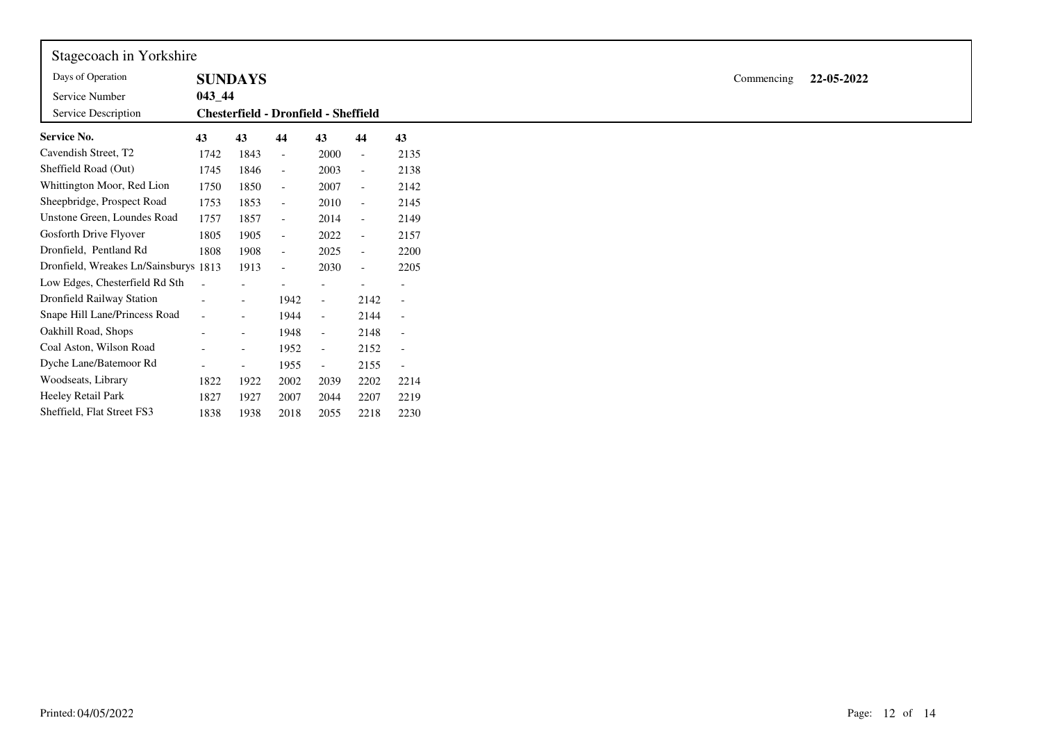| Stagecoach in Yorkshire               |            |                                      |                          |                          |                          |                          |
|---------------------------------------|------------|--------------------------------------|--------------------------|--------------------------|--------------------------|--------------------------|
| Days of Operation                     |            | <b>SUNDAYS</b>                       |                          |                          |                          |                          |
| Service Number                        | $043 - 44$ |                                      |                          |                          |                          |                          |
| Service Description                   |            | Chesterfield - Dronfield - Sheffield |                          |                          |                          |                          |
| <b>Service No.</b>                    | 43         | 43                                   | 44                       | 43                       | 44                       | 43                       |
| Cavendish Street, T2                  | 1742       | 1843                                 | $\overline{\phantom{a}}$ | 2000                     | $\overline{\phantom{a}}$ | 2135                     |
| Sheffield Road (Out)                  | 1745       | 1846                                 | $\overline{\phantom{a}}$ | 2003                     |                          | 2138                     |
| Whittington Moor, Red Lion            | 1750       | 1850                                 | $\overline{\phantom{a}}$ | 2007                     | $\overline{\phantom{a}}$ | 2142                     |
| Sheepbridge, Prospect Road            | 1753       | 1853                                 | $\overline{\phantom{a}}$ | 2010                     | $\sim$                   | 2145                     |
| Unstone Green, Loundes Road           | 1757       | 1857                                 | $\overline{\phantom{a}}$ | 2014                     | $\sim$                   | 2149                     |
| Gosforth Drive Flyover                | 1805       | 1905                                 | $\overline{\phantom{a}}$ | 2022                     | $\overline{\phantom{a}}$ | 2157                     |
| Dronfield, Pentland Rd                | 1808       | 1908                                 | $\overline{\phantom{a}}$ | 2025                     | $\overline{\phantom{a}}$ | 2200                     |
| Dronfield, Wreakes Ln/Sainsburys 1813 |            | 1913                                 | $\overline{\phantom{a}}$ | 2030                     |                          | 2205                     |
| Low Edges, Chesterfield Rd Sth        |            |                                      |                          |                          |                          |                          |
| Dronfield Railway Station             |            | $\overline{\phantom{a}}$             | 1942                     | $\overline{\phantom{a}}$ | 2142                     | $\overline{\phantom{a}}$ |
| Snape Hill Lane/Princess Road         | $\sim$     | $\sim$                               | 1944                     | $\overline{\phantom{a}}$ | 2144                     | $\overline{\phantom{a}}$ |
| Oakhill Road, Shops                   |            | $\overline{\phantom{a}}$             | 1948                     | $\overline{\phantom{a}}$ | 2148                     | $\overline{\phantom{a}}$ |
| Coal Aston, Wilson Road               |            | $\overline{\phantom{a}}$             | 1952                     | $\overline{\phantom{a}}$ | 2152                     | $\overline{\phantom{a}}$ |
| Dyche Lane/Batemoor Rd                |            | $\overline{\phantom{a}}$             | 1955                     | $\overline{\phantom{a}}$ | 2155                     |                          |
| Woodseats, Library                    | 1822       | 1922                                 | 2002                     | 2039                     | 2202                     | 2214                     |
| Heeley Retail Park                    | 1827       | 1927                                 | 2007                     | 2044                     | 2207                     | 2219                     |
| Sheffield, Flat Street FS3            | 1838       | 1938                                 | 2018                     | 2055                     | 2218                     | 2230                     |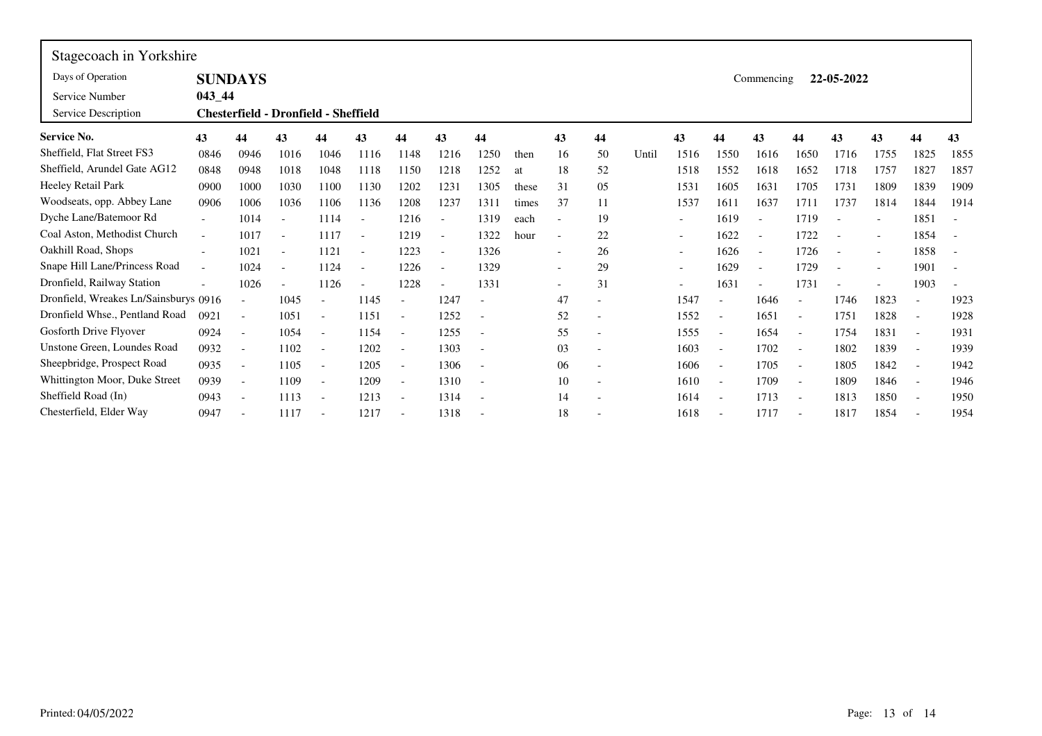| Stagecoach in Yorkshire               |                                            |                          |                          |                                             |                          |                          |                          |                          |       |                          |                          |       |                          |                          |                          |                          |                          |      |                          |                          |
|---------------------------------------|--------------------------------------------|--------------------------|--------------------------|---------------------------------------------|--------------------------|--------------------------|--------------------------|--------------------------|-------|--------------------------|--------------------------|-------|--------------------------|--------------------------|--------------------------|--------------------------|--------------------------|------|--------------------------|--------------------------|
| Days of Operation                     | <b>SUNDAYS</b><br>22-05-2022<br>Commencing |                          |                          |                                             |                          |                          |                          |                          |       |                          |                          |       |                          |                          |                          |                          |                          |      |                          |                          |
| Service Number                        | $043 - 44$                                 |                          |                          |                                             |                          |                          |                          |                          |       |                          |                          |       |                          |                          |                          |                          |                          |      |                          |                          |
| Service Description                   |                                            |                          |                          | <b>Chesterfield - Dronfield - Sheffield</b> |                          |                          |                          |                          |       |                          |                          |       |                          |                          |                          |                          |                          |      |                          |                          |
| <b>Service No.</b>                    | 43                                         | 44                       | 43                       | 44                                          | 43                       | 44                       | 43                       | 44                       |       | 43                       | 44                       |       | 43                       | 44                       | 43                       | 44                       | 43                       | 43   | 44                       | 43                       |
| Sheffield, Flat Street FS3            | 0846                                       | 0946                     | 1016                     | 1046                                        | 1116                     | 1148                     | 1216                     | 1250                     | then  | 16                       | 50                       | Until | 1516                     | 1550                     | 1616                     | 1650                     | 1716                     | 1755 | 1825                     | 1855                     |
| Sheffield, Arundel Gate AG12          | 0848                                       | 0948                     | 1018                     | 1048                                        | 1118                     | 1150                     | 1218                     | 1252                     | at    | 18                       | 52                       |       | 1518                     | 1552                     | 1618                     | 1652                     | 1718                     | 1757 | 1827                     | 1857                     |
| Heeley Retail Park                    | 0900                                       | 1000                     | 1030                     | 1100                                        | 1130                     | 1202                     | 1231                     | 1305                     | these | 31                       | 05                       |       | 1531                     | 1605                     | 1631                     | 1705                     | 1731                     | 1809 | 1839                     | 1909                     |
| Woodseats, opp. Abbey Lane            | 0906                                       | 1006                     | 1036                     | 1106                                        | 1136                     | 1208                     | 1237                     | 1311                     | times | 37                       | 11                       |       | 1537                     | 1611                     | 1637                     | 1711                     | 1737                     | 1814 | 1844                     | 1914                     |
| Dyche Lane/Batemoor Rd                | $\overline{\phantom{0}}$                   | 1014                     | $\overline{\phantom{a}}$ | 1114                                        | $\overline{\phantom{a}}$ | 1216                     | $\overline{\phantom{a}}$ | 1319                     | each  | $\overline{\phantom{0}}$ | 19                       |       | $\overline{\phantom{a}}$ | 1619                     | $\sim$                   | 1719                     |                          |      | 1851                     | $\overline{\phantom{a}}$ |
| Coal Aston, Methodist Church          | $\blacksquare$                             | 1017                     | $\overline{\phantom{a}}$ | 1117                                        | $\overline{\phantom{a}}$ | 1219                     | $\overline{\phantom{a}}$ | 1322                     | hour  | $\overline{\phantom{a}}$ | 22                       |       | $\overline{\phantom{0}}$ | 1622                     | $\overline{\phantom{a}}$ | 1722                     |                          |      | 1854                     |                          |
| Oakhill Road, Shops                   | $\overline{\phantom{a}}$                   | 1021                     | $\overline{\phantom{a}}$ | 1121                                        | $\blacksquare$           | 1223                     | $\blacksquare$           | 1326                     |       | $\overline{\phantom{a}}$ | 26                       |       | $\overline{\phantom{a}}$ | 1626                     | $\overline{\phantom{a}}$ | 1726                     |                          |      | 1858                     |                          |
| Snape Hill Lane/Princess Road         | $\overline{\phantom{0}}$                   | 1024                     | $\overline{\phantom{a}}$ | 1124                                        | $\overline{\phantom{a}}$ | 1226                     | $\blacksquare$           | 1329                     |       | $\overline{\phantom{a}}$ | 29                       |       | $\overline{\phantom{0}}$ | 1629                     | $\overline{\phantom{a}}$ | 1729                     | $\overline{\phantom{a}}$ |      | 1901                     | $\overline{\phantom{a}}$ |
| Dronfield, Railway Station            |                                            | 1026                     | $\overline{\phantom{a}}$ | 1126                                        |                          | 1228                     | $\blacksquare$           | 1331                     |       |                          | 31                       |       |                          | 1631                     |                          | 1731                     |                          |      | 1903                     |                          |
| Dronfield, Wreakes Ln/Sainsburys 0916 |                                            | $\overline{\phantom{a}}$ | 1045                     |                                             | 1145                     |                          | 1247                     |                          |       | 47                       |                          |       | 1547                     | $\overline{\phantom{a}}$ | 1646                     |                          | 1746                     | 1823 | $\overline{\phantom{a}}$ | 1923                     |
| Dronfield Whse., Pentland Road        | 0921                                       | $\overline{a}$           | 1051                     | $\overline{\phantom{a}}$                    | 1151                     | $\overline{\phantom{a}}$ | 1252                     |                          |       | 52                       | $\overline{\phantom{a}}$ |       | 1552                     | $\sim$                   | 1651                     | $\overline{\phantom{0}}$ | 1751                     | 1828 | $\bar{a}$                | 1928                     |
| Gosforth Drive Flyover                | 0924                                       | $\overline{a}$           | 1054                     | $\overline{\phantom{a}}$                    | 1154                     |                          | 1255                     |                          |       | 55                       | $\overline{\phantom{a}}$ |       | 1555                     | $\overline{\phantom{a}}$ | 1654                     |                          | 1754                     | 1831 | $\overline{\phantom{a}}$ | 1931                     |
| Unstone Green, Loundes Road           | 0932                                       | $\overline{\phantom{a}}$ | 1102                     | $\overline{\phantom{a}}$                    | 1202                     |                          | 1303                     | $\overline{\phantom{a}}$ |       | 03                       |                          |       | 1603                     | $\overline{\phantom{a}}$ | 1702                     |                          | 1802                     | 1839 | $\overline{\phantom{a}}$ | 1939                     |
| Sheepbridge, Prospect Road            | 0935                                       | $\overline{\phantom{a}}$ | 1105                     |                                             | 1205                     |                          | 1306                     | $\overline{\phantom{a}}$ |       | 06                       |                          |       | 1606                     | $\overline{\phantom{a}}$ | 1705                     |                          | 1805                     | 1842 | $\overline{\phantom{a}}$ | 1942                     |
| Whittington Moor, Duke Street         | 0939                                       | $\overline{\phantom{a}}$ | 1109                     | $\overline{\phantom{a}}$                    | 1209                     |                          | 1310                     |                          |       | 10                       |                          |       | 1610                     | $\blacksquare$           | 1709                     |                          | 1809                     | 1846 | $\blacksquare$           | 1946                     |
| Sheffield Road (In)                   | 0943                                       | $\overline{a}$           | 1113                     | $\overline{\phantom{a}}$                    | 1213                     | $\overline{\phantom{a}}$ | 1314                     |                          |       | 14                       | $\overline{\phantom{a}}$ |       | 1614                     | $\blacksquare$           | 1713                     |                          | 1813                     | 1850 | $\blacksquare$           | 1950                     |
| Chesterfield, Elder Way               | 0947                                       | $\overline{\phantom{a}}$ | 1117                     |                                             | 1217                     |                          | 1318                     |                          |       | 18                       |                          |       | 1618                     |                          | 1717                     |                          | 1817                     | 1854 |                          | 1954                     |